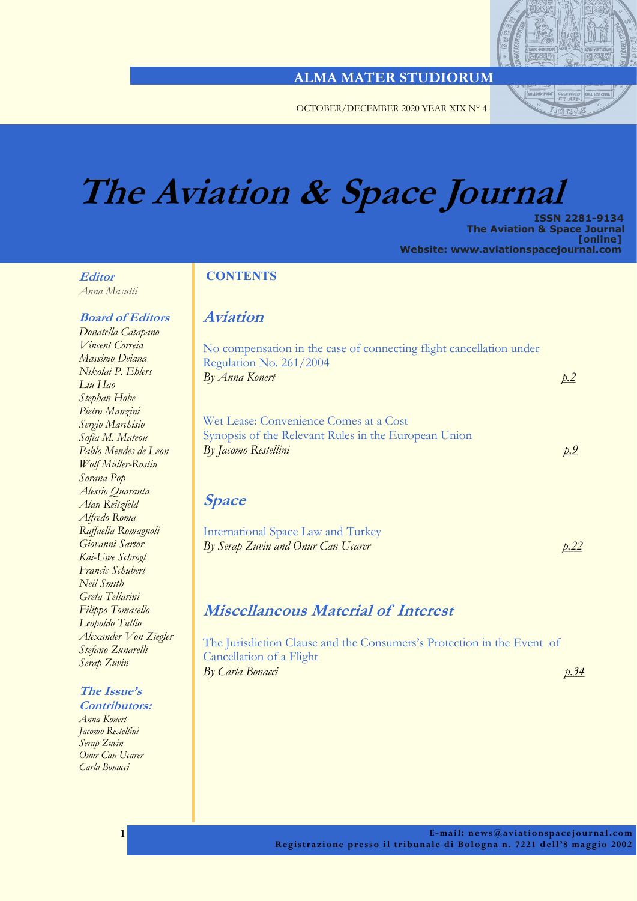

OCTOBER/DECEMBER 2020 YEAR XIX N° 4

# **The Aviation & Space Journal**

 **ISSN 2281-9134 The Aviation & Space Journal [online] Website: www.aviationspacejournal.com**

### **Editor**

*Anna Masutti* 

#### **Board of Editors**

*Donatella Catapano Vincent Correia Massimo Deiana Nikolai P. Ehlers Liu Hao Stephan Hobe Pietro Manzini Sergio Marchisio Sofia M. Mateou Pablo Mendes de Leon Wolf Müller-Rostin Sorana Pop Alessio Quaranta Alan Reitzfeld Alfredo Roma Raffaella Romagnoli Giovanni Sartor Kai-Uwe Schrogl Francis Schubert Neil Smith Greta Tellarini Filippo Tomasello Leopoldo Tullio Alexander Von Ziegler Stefano Zunarelli Serap Zuvin*

#### **The Issue's Contributors:**

*Anna Konert Jacomo Restellini Serap Zuvin Onur Can Ucarer Carla Bonacci*

 **1** 

### **CONTENTS**

### **Aviation**

| No compensation in the case of connecting flight cancellation under<br>Regulation No. 261/2004<br>By Anna Konert       |  |
|------------------------------------------------------------------------------------------------------------------------|--|
| Wet Lease: Convenience Comes at a Cost<br>Synopsis of the Relevant Rules in the European Union<br>By Jacomo Restellini |  |
|                                                                                                                        |  |

| International Space Law and Turkey |      |
|------------------------------------|------|
| By Serap Zuvin and Onur Can Ucarer | p.22 |

### **Miscellaneous Material of Interest**

The Jurisdiction Clause and the Consumers's Protection in the Event of Cancellation of a Flight *By Carla Bonacci [p.34](#page-33-0)*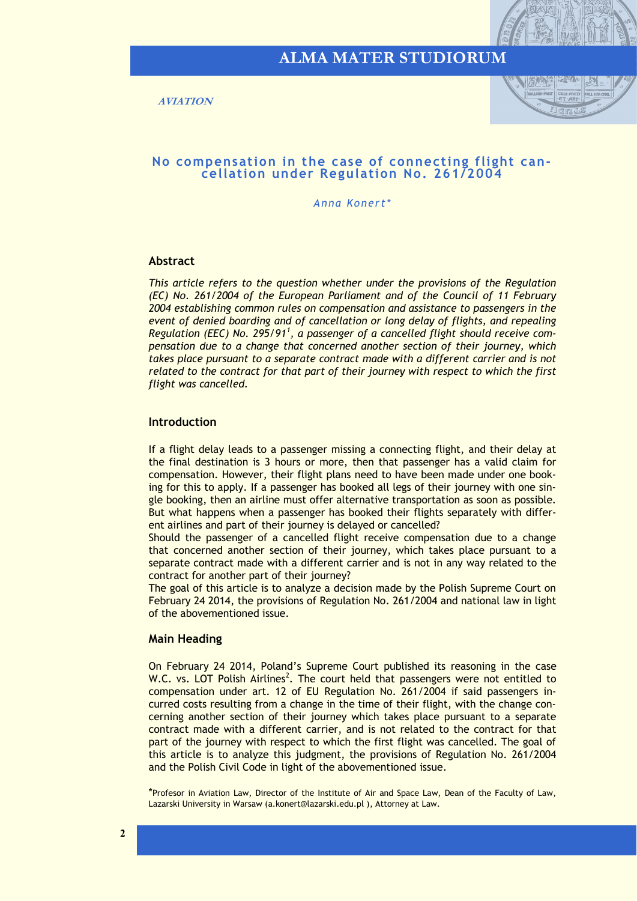

<span id="page-1-0"></span>**AVIATION**



#### **No compensation in the case of connecting flight cancellation under Regulation No. 261/2004**

*Anna Konert\**

#### **Abstract**

*This article refers to the question whether under the provisions of the Regulation (EC) No. 261/2004 of the European Parliament and of the Council of 11 February 2004 establishing common rules on compensation and assistance to passengers in the event of denied boarding and of cancellation or long delay of flights, and repealing Regulation (EEC) No. 295/91<sup>1</sup> , a passenger of a cancelled flight should receive compensation due to a change that concerned another section of their journey, which*  takes place pursuant to a separate contract made with a different carrier and is not *related to the contract for that part of their journey with respect to which the first flight was cancelled.* 

#### **Introduction**

If a flight delay leads to a passenger missing a connecting flight, and their delay at the final destination is 3 hours or more, then that passenger has a valid claim for compensation. However, their flight plans need to have been made under one booking for this to apply. If a passenger has booked all legs of their journey with one single booking, then an airline must offer alternative transportation as soon as possible. But what happens when a passenger has booked their flights separately with different airlines and part of their journey is delayed or cancelled?

Should the passenger of a cancelled flight receive compensation due to a change that concerned another section of their journey, which takes place pursuant to a separate contract made with a different carrier and is not in any way related to the contract for another part of their journey?

The goal of this article is to analyze a decision made by the Polish Supreme Court on February 24 2014, the provisions of Regulation No. 261/2004 and national law in light of the abovementioned issue.

#### **Main Heading**

On February 24 2014, Poland's Supreme Court published its reasoning in the case W.C. vs. LOT Polish Airlines<sup>2</sup>. The court held that passengers were not entitled to compensation under art. 12 of EU Regulation No. 261/2004 if said passengers incurred costs resulting from a change in the time of their flight, with the change concerning another section of their journey which takes place pursuant to a separate contract made with a different carrier, and is not related to the contract for that part of the journey with respect to which the first flight was cancelled. The goal of this article is to analyze this judgment, the provisions of Regulation No. 261/2004 and the Polish Civil Code in light of the abovementioned issue.

\*Profesor in Aviation Law, Director of the Institute of Air and Space Law, Dean of the Faculty of Law, Lazarski University in Warsaw (a.konert@lazarski.edu.pl ), Attorney at Law.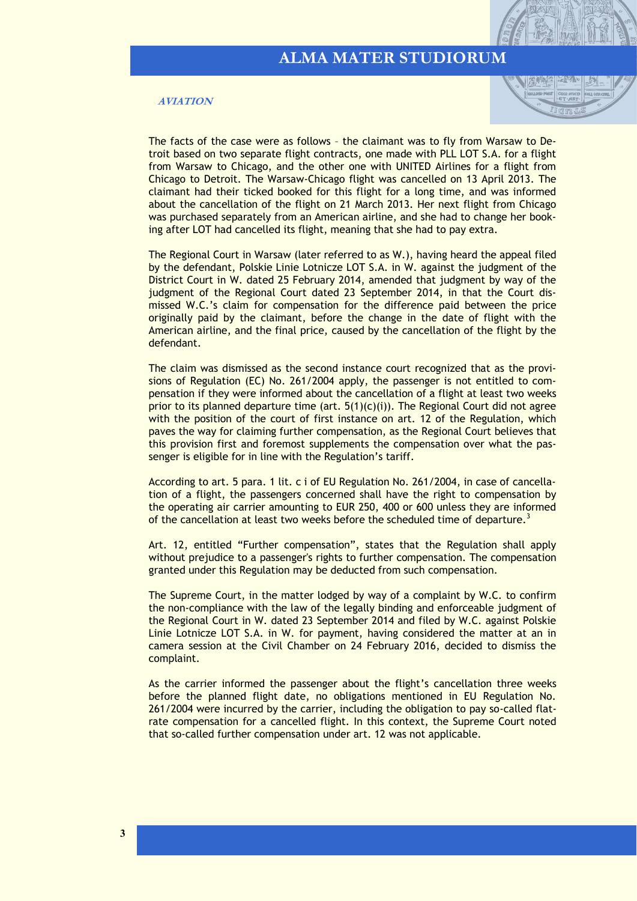#### **AVIATION**



The facts of the case were as follows – the claimant was to fly from Warsaw to Detroit based on two separate flight contracts, one made with PLL LOT S.A. for a flight from Warsaw to Chicago, and the other one with UNITED Airlines for a flight from Chicago to Detroit. The Warsaw-Chicago flight was cancelled on 13 April 2013. The claimant had their ticked booked for this flight for a long time, and was informed about the cancellation of the flight on 21 March 2013. Her next flight from Chicago was purchased separately from an American airline, and she had to change her booking after LOT had cancelled its flight, meaning that she had to pay extra.

The Regional Court in Warsaw (later referred to as W.), having heard the appeal filed by the defendant, Polskie Linie Lotnicze LOT S.A. in W. against the judgment of the District Court in W. dated 25 February 2014, amended that judgment by way of the judgment of the Regional Court dated 23 September 2014, in that the Court dismissed W.C.'s claim for compensation for the difference paid between the price originally paid by the claimant, before the change in the date of flight with the American airline, and the final price, caused by the cancellation of the flight by the defendant.

The claim was dismissed as the second instance court recognized that as the provisions of Regulation (EC) No. 261/2004 apply, the passenger is not entitled to compensation if they were informed about the cancellation of a flight at least two weeks prior to its planned departure time (art.  $5(1)(c)(i)$ ). The Regional Court did not agree with the position of the court of first instance on art. 12 of the Regulation, which paves the way for claiming further compensation, as the Regional Court believes that this provision first and foremost supplements the compensation over what the passenger is eligible for in line with the Regulation's tariff.

According to art. 5 para. 1 lit. c i of EU Regulation No. 261/2004, in case of cancellation of a flight, the passengers concerned shall have the right to compensation by the operating air carrier amounting to EUR 250, 400 or 600 unless they are informed of the cancellation at least two weeks before the scheduled time of departure.<sup>3</sup>

Art. 12, entitled "Further compensation", states that the Regulation shall apply without prejudice to a passenger's rights to further compensation. The compensation granted under this Regulation may be deducted from such compensation.

The Supreme Court, in the matter lodged by way of a complaint by W.C. to confirm the non-compliance with the law of the legally binding and enforceable judgment of the Regional Court in W. dated 23 September 2014 and filed by W.C. against Polskie Linie Lotnicze LOT S.A. in W. for payment, having considered the matter at an in camera session at the Civil Chamber on 24 February 2016, decided to dismiss the complaint.

As the carrier informed the passenger about the flight's cancellation three weeks before the planned flight date, no obligations mentioned in EU Regulation No. 261/2004 were incurred by the carrier, including the obligation to pay so-called flatrate compensation for a cancelled flight. In this context, the Supreme Court noted that so-called further compensation under art. 12 was not applicable.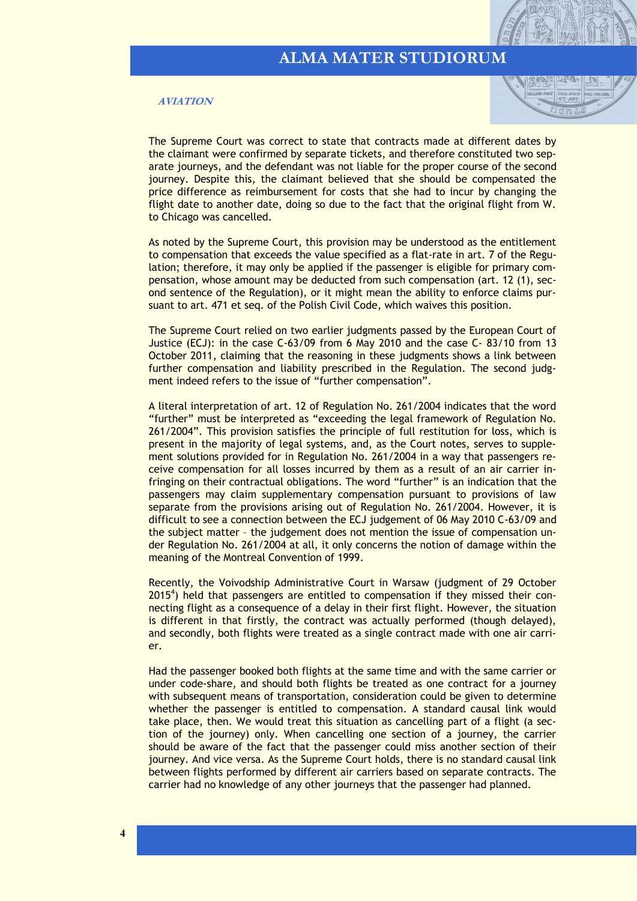#### **AVIATION**



The Supreme Court was correct to state that contracts made at different dates by the claimant were confirmed by separate tickets, and therefore constituted two separate journeys, and the defendant was not liable for the proper course of the second journey. Despite this, the claimant believed that she should be compensated the price difference as reimbursement for costs that she had to incur by changing the flight date to another date, doing so due to the fact that the original flight from W. to Chicago was cancelled.

As noted by the Supreme Court, this provision may be understood as the entitlement to compensation that exceeds the value specified as a flat-rate in art. 7 of the Regulation; therefore, it may only be applied if the passenger is eligible for primary compensation, whose amount may be deducted from such compensation (art. 12 (1), second sentence of the Regulation), or it might mean the ability to enforce claims pursuant to art. 471 et seq. of the Polish Civil Code, which waives this position.

The Supreme Court relied on two earlier judgments passed by the European Court of Justice (ECJ): in the case C-63/09 from 6 May 2010 and the case C- 83/10 from 13 October 2011, claiming that the reasoning in these judgments shows a link between further compensation and liability prescribed in the Regulation. The second judgment indeed refers to the issue of "further compensation".

A literal interpretation of art. 12 of Regulation No. 261/2004 indicates that the word "further" must be interpreted as "exceeding the legal framework of Regulation No. 261/2004". This provision satisfies the principle of full restitution for loss, which is present in the majority of legal systems, and, as the Court notes, serves to supplement solutions provided for in Regulation No. 261/2004 in a way that passengers receive compensation for all losses incurred by them as a result of an air carrier infringing on their contractual obligations. The word "further" is an indication that the passengers may claim supplementary compensation pursuant to provisions of law separate from the provisions arising out of Regulation No. 261/2004. However, it is difficult to see a connection between the ECJ judgement of 06 May 2010 C-63/09 and the subject matter – the judgement does not mention the issue of compensation under Regulation No. 261/2004 at all, it only concerns the notion of damage within the meaning of the Montreal Convention of 1999.

Recently, the Voivodship Administrative Court in Warsaw (judgment of 29 October  $2015<sup>4</sup>$ ) held that passengers are entitled to compensation if they missed their connecting flight as a consequence of a delay in their first flight. However, the situation is different in that firstly, the contract was actually performed (though delayed), and secondly, both flights were treated as a single contract made with one air carrier.

Had the passenger booked both flights at the same time and with the same carrier or under code-share, and should both flights be treated as one contract for a journey with subsequent means of transportation, consideration could be given to determine whether the passenger is entitled to compensation. A standard causal link would take place, then. We would treat this situation as cancelling part of a flight (a section of the journey) only. When cancelling one section of a journey, the carrier should be aware of the fact that the passenger could miss another section of their journey. And vice versa. As the Supreme Court holds, there is no standard causal link between flights performed by different air carriers based on separate contracts. The carrier had no knowledge of any other journeys that the passenger had planned.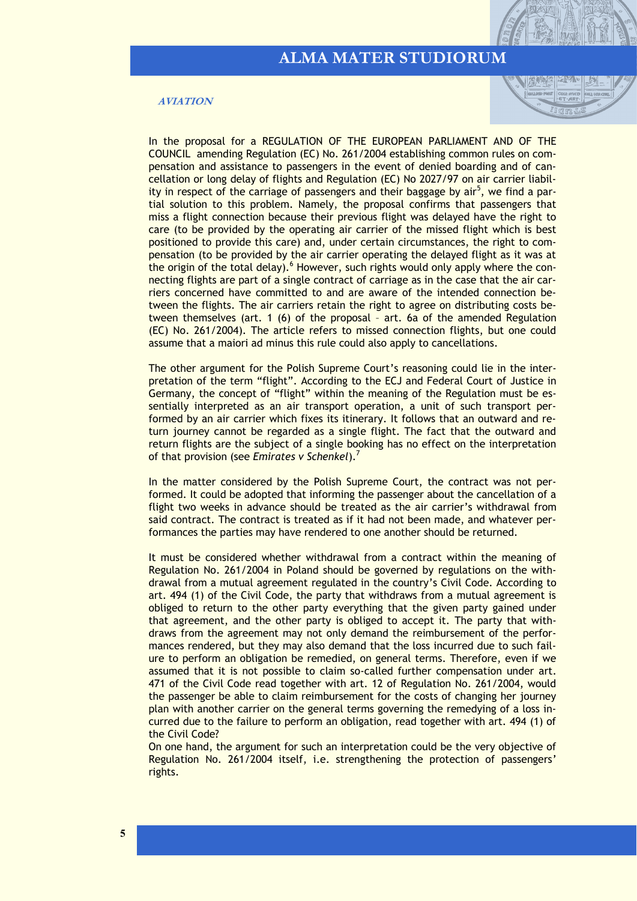| 冷いの間

#### **AVIATION**

In the proposal for a REGULATION OF THE EUROPEAN PARLIAMENT AND OF THE COUNCIL amending Regulation (EC) No. 261/2004 establishing common rules on compensation and assistance to passengers in the event of denied boarding and of cancellation or long delay of flights and Regulation (EC) No 2027/97 on air carrier liability in respect of the carriage of passengers and their baggage by air<sup>5</sup>, we find a partial solution to this problem. Namely, the proposal confirms that passengers that miss a flight connection because their previous flight was delayed have the right to care (to be provided by the operating air carrier of the missed flight which is best positioned to provide this care) and, under certain circumstances, the right to compensation (to be provided by the air carrier operating the delayed flight as it was at the origin of the total delay). $6$  However, such rights would only apply where the connecting flights are part of a single contract of carriage as in the case that the air carriers concerned have committed to and are aware of the intended connection between the flights. The air carriers retain the right to agree on distributing costs between themselves (art. 1 (6) of the proposal – art. 6a of the amended Regulation (EC) No. 261/2004). The article refers to missed connection flights, but one could assume that a maiori ad minus this rule could also apply to cancellations.

The other argument for the Polish Supreme Court's reasoning could lie in the interpretation of the term "flight". According to the ECJ and Federal Court of Justice in Germany, the concept of "flight" within the meaning of the Regulation must be essentially interpreted as an air transport operation, a unit of such transport performed by an air carrier which fixes its itinerary. It follows that an outward and return journey cannot be regarded as a single flight. The fact that the outward and return flights are the subject of a single booking has no effect on the interpretation of that provision (see *Emirates v Schenkel*).<sup>7</sup>

In the matter considered by the Polish Supreme Court, the contract was not performed. It could be adopted that informing the passenger about the cancellation of a flight two weeks in advance should be treated as the air carrier's withdrawal from said contract. The contract is treated as if it had not been made, and whatever performances the parties may have rendered to one another should be returned.

It must be considered whether withdrawal from a contract within the meaning of Regulation No. 261/2004 in Poland should be governed by regulations on the withdrawal from a mutual agreement regulated in the country's Civil Code. According to art. 494 (1) of the Civil Code, the party that withdraws from a mutual agreement is obliged to return to the other party everything that the given party gained under that agreement, and the other party is obliged to accept it. The party that withdraws from the agreement may not only demand the reimbursement of the performances rendered, but they may also demand that the loss incurred due to such failure to perform an obligation be remedied, on general terms. Therefore, even if we assumed that it is not possible to claim so-called further compensation under art. 471 of the Civil Code read together with art. 12 of Regulation No. 261/2004, would the passenger be able to claim reimbursement for the costs of changing her journey plan with another carrier on the general terms governing the remedying of a loss incurred due to the failure to perform an obligation, read together with art. 494 (1) of the Civil Code?

On one hand, the argument for such an interpretation could be the very objective of Regulation No. 261/2004 itself, i.e. strengthening the protection of passengers' rights.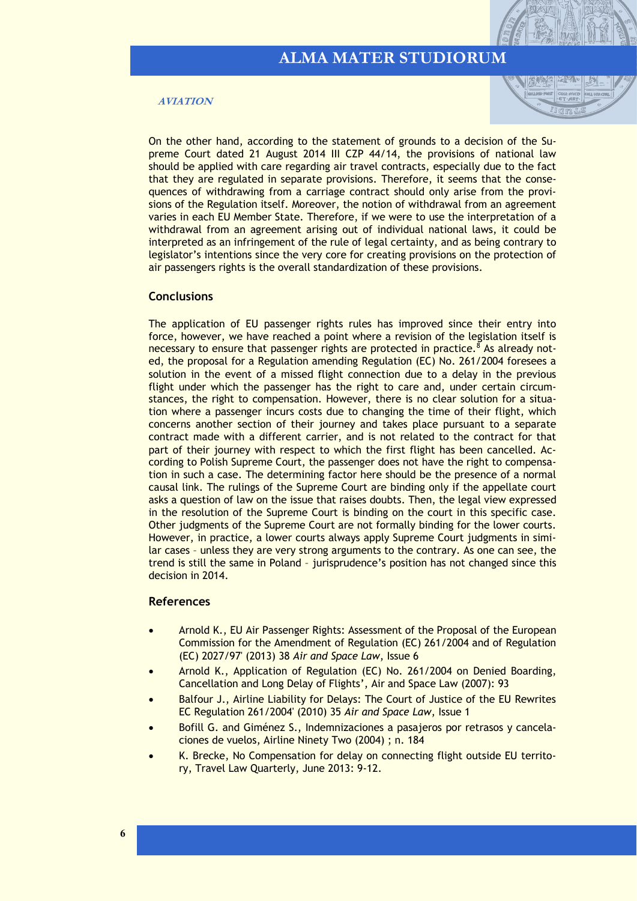#### **AVIATION**



On the other hand, according to the statement of grounds to a decision of the Supreme Court dated 21 August 2014 III CZP 44/14, the provisions of national law should be applied with care regarding air travel contracts, especially due to the fact that they are regulated in separate provisions. Therefore, it seems that the consequences of withdrawing from a carriage contract should only arise from the provisions of the Regulation itself. Moreover, the notion of withdrawal from an agreement varies in each EU Member State. Therefore, if we were to use the interpretation of a withdrawal from an agreement arising out of individual national laws, it could be interpreted as an infringement of the rule of legal certainty, and as being contrary to legislator's intentions since the very core for creating provisions on the protection of air passengers rights is the overall standardization of these provisions.

#### **Conclusions**

The application of EU passenger rights rules has improved since their entry into force, however, we have reached a point where a revision of the legislation itself is necessary to ensure that passenger rights are protected in practice.  $\delta$  As already noted, the proposal for a Regulation amending Regulation (EC) No. 261/2004 foresees a solution in the event of a missed flight connection due to a delay in the previous flight under which the passenger has the right to care and, under certain circumstances, the right to compensation. However, there is no clear solution for a situation where a passenger incurs costs due to changing the time of their flight, which concerns another section of their journey and takes place pursuant to a separate contract made with a different carrier, and is not related to the contract for that part of their journey with respect to which the first flight has been cancelled. According to Polish Supreme Court, the passenger does not have the right to compensation in such a case. The determining factor here should be the presence of a normal causal link. The rulings of the Supreme Court are binding only if the appellate court asks a question of law on the issue that raises doubts. Then, the legal view expressed in the resolution of the Supreme Court is binding on the court in this specific case. Other judgments of the Supreme Court are not formally binding for the lower courts. However, in practice, a lower courts always apply Supreme Court judgments in similar cases – unless they are very strong arguments to the contrary. As one can see, the trend is still the same in Poland – jurisprudence's position has not changed since this decision in 2014.

#### **References**

- Arnold K., EU Air Passenger Rights: Assessment of the Proposal of the European Commission for the Amendment of Regulation (EC) 261/2004 and of Regulation (EC) 2027/97' (2013) 38 *Air and Space Law*, Issue 6
- Arnold K., Application of Regulation (EC) No. 261/2004 on Denied Boarding, Cancellation and Long Delay of Flights', Air and Space Law (2007): 93
- Balfour J., Airline Liability for Delays: The Court of Justice of the EU Rewrites EC Regulation 261/2004' (2010) 35 *Air and Space Law*, Issue 1
- Bofill G. and Giménez S., Indemnizaciones a pasajeros por retrasos y cancelaciones de vuelos, Airline Ninety Two (2004) ; n. 184
- K. Brecke, No Compensation for delay on connecting flight outside EU territory, Travel Law Quarterly, June 2013: 9-12.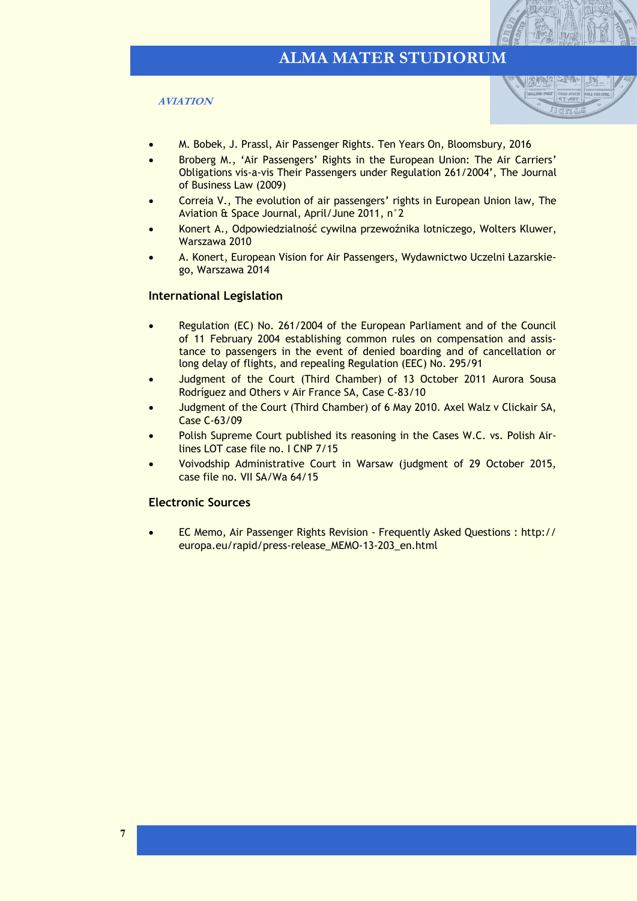#### **AVIATION**



- M. Bobek, J. Prassl, Air Passenger Rights. Ten Years On, Bloomsbury, 2016
- Broberg M., 'Air Passengers' Rights in the European Union: The Air Carriers' Obligations vis-a-vis Their Passengers under Regulation 261/2004', The Journal of Business Law (2009)
- Correia V., The evolution of air passengers' rights in European Union law, The Aviation & Space Journal, April/June 2011, n°2
- Konert A., Odpowiedzialność cywilna przewoźnika lotniczego, Wolters Kluwer, Warszawa 2010
- A. Konert, European Vision for Air Passengers, Wydawnictwo Uczelni Łazarskiego, Warszawa 2014

#### **International Legislation**

- Regulation (EC) No. 261/2004 of the European Parliament and of the Council of 11 February 2004 establishing common rules on compensation and assistance to passengers in the event of denied boarding and of cancellation or long delay of flights, and repealing Regulation (EEC) No. 295/91
- Judgment of the Court (Third Chamber) of 13 October 2011 Aurora Sousa Rodríguez and Others v Air France SA, Case C-83/10
- Judgment of the Court (Third Chamber) of 6 May 2010. Axel Walz v Clickair SA, Case C-63/09
- Polish Supreme Court published its reasoning in the Cases W.C. vs. Polish Airlines LOT case file no. I CNP 7/15
- Voivodship Administrative Court in Warsaw (judgment of 29 October 2015, case file no. VII SA/Wa 64/15

#### **Electronic Sources**

• EC Memo, Air Passenger Rights Revision - Frequently Asked Questions : http:// europa.eu/rapid/press-release\_MEMO-13-203\_en.html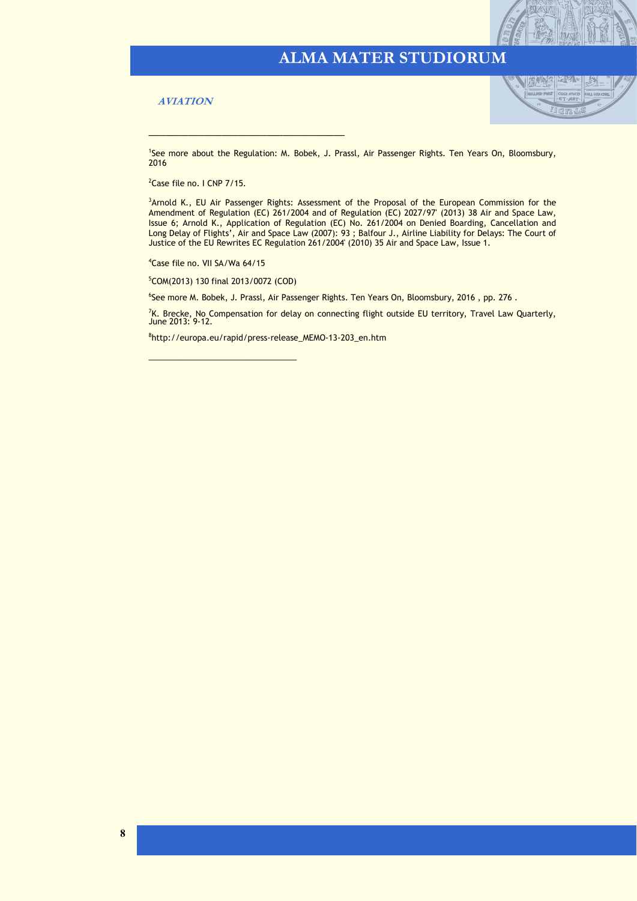#### **AVIATION**



<sup>1</sup>See more about the Regulation: M. Bobek, J. Prassl, Air Passenger Rights. Ten Years On, Bloomsbury, 2016

<sup>2</sup>Case file no. I CNP 7/15.

<sup>3</sup>Arnold K., EU Air Passenger Rights: Assessment of the Proposal of the European Commission for the Amendment of Regulation (EC) 261/2004 and of Regulation (EC) 2027/97' (2013) 38 Air and Space Law, Issue 6; Arnold K., Application of Regulation (EC) No. 261/2004 on Denied Boarding, Cancellation and Long Delay of Flights', Air and Space Law (2007): 93 ; Balfour J., Airline Liability for Delays: The Court of Justice of the EU Rewrites EC Regulation 261/2004' (2010) 35 Air and Space Law, Issue 1.

<sup>4</sup>Case file no. VII SA/Wa 64/15

<sup>5</sup>COM(2013) 130 final 2013/0072 (COD)

\_\_\_\_\_\_\_\_\_\_\_\_\_\_\_\_\_\_\_\_\_\_\_\_\_\_\_\_\_\_\_\_\_

\_\_\_\_\_\_\_\_\_\_\_\_\_\_\_\_\_\_\_\_\_\_\_\_\_\_\_\_\_\_\_\_\_\_\_

6 See more M. Bobek, J. Prassl, Air Passenger Rights. Ten Years On, Bloomsbury, 2016 , pp. 276 .

<sup>7</sup>K. Brecke, No Compensation for delay on connecting flight outside EU territory, Travel Law Quarterly,<br>June 2013: 9-12.

8 http://europa.eu/rapid/press-release\_MEMO-13-203\_en.htm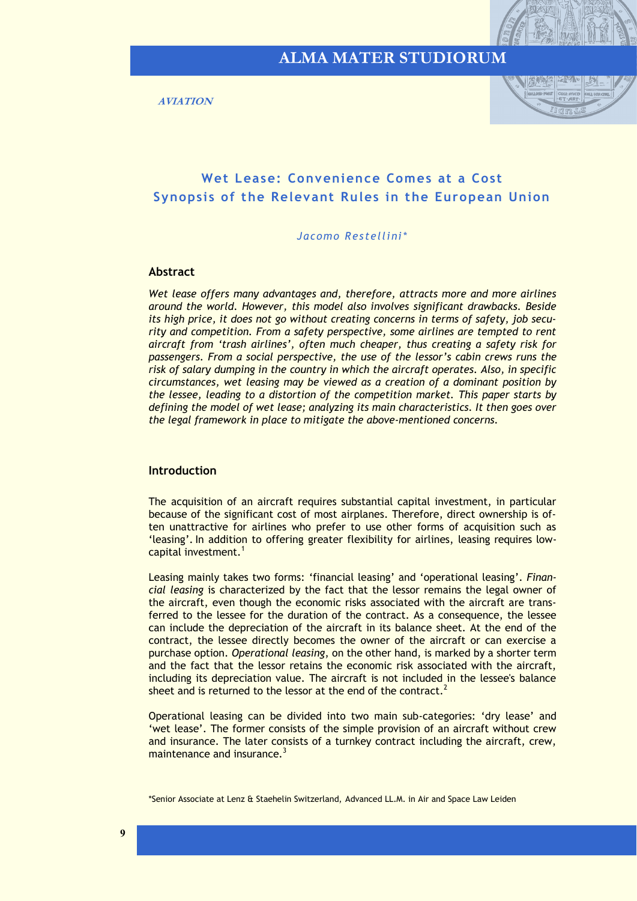<span id="page-8-0"></span>**AVIATION**



### **Wet Lease: Convenience Comes at a Cost Synopsis of the Relevant Rules in the European Union**

#### *Jacomo Restellini\**

#### **Abstract**

*Wet lease offers many advantages and, therefore, attracts more and more airlines around the world. However, this model also involves significant drawbacks. Beside its high price, it does not go without creating concerns in terms of safety, job security and competition. From a safety perspective, some airlines are tempted to rent aircraft from 'trash airlines', often much cheaper, thus creating a safety risk for passengers. From a social perspective, the use of the lessor's cabin crews runs the risk of salary dumping in the country in which the aircraft operates. Also, in specific circumstances, wet leasing may be viewed as a creation of a dominant position by the lessee, leading to a distortion of the competition market. This paper starts by defining the model of wet lease; analyzing its main characteristics. It then goes over the legal framework in place to mitigate the above-mentioned concerns.* 

#### **Introduction**

The acquisition of an aircraft requires substantial capital investment, in particular because of the significant cost of most airplanes. Therefore, direct ownership is often unattractive for airlines who prefer to use other forms of acquisition such as 'leasing'. In addition to offering greater flexibility for airlines, leasing requires lowcapital investment. $<sup>1</sup>$ </sup>

Leasing mainly takes two forms: 'financial leasing' and 'operational leasing'. *Financial leasing* is characterized by the fact that the lessor remains the legal owner of the aircraft, even though the economic risks associated with the aircraft are transferred to the lessee for the duration of the contract. As a consequence, the lessee can include the depreciation of the aircraft in its balance sheet. At the end of the contract, the lessee directly becomes the owner of the aircraft or can exercise a purchase option. *Operational leasing*, on the other hand, is marked by a shorter term and the fact that the lessor retains the economic risk associated with the aircraft, including its depreciation value. The aircraft is not included in the lessee's balance sheet and is returned to the lessor at the end of the contract.<sup>2</sup>

Operational leasing can be divided into two main sub-categories: 'dry lease' and 'wet lease'. The former consists of the simple provision of an aircraft without crew and insurance. The later consists of a turnkey contract including the aircraft, crew, maintenance and insurance. $3$ 

<sup>\*</sup>Senior Associate at Lenz & Staehelin Switzerland, Advanced LL.M. in Air and Space Law Leiden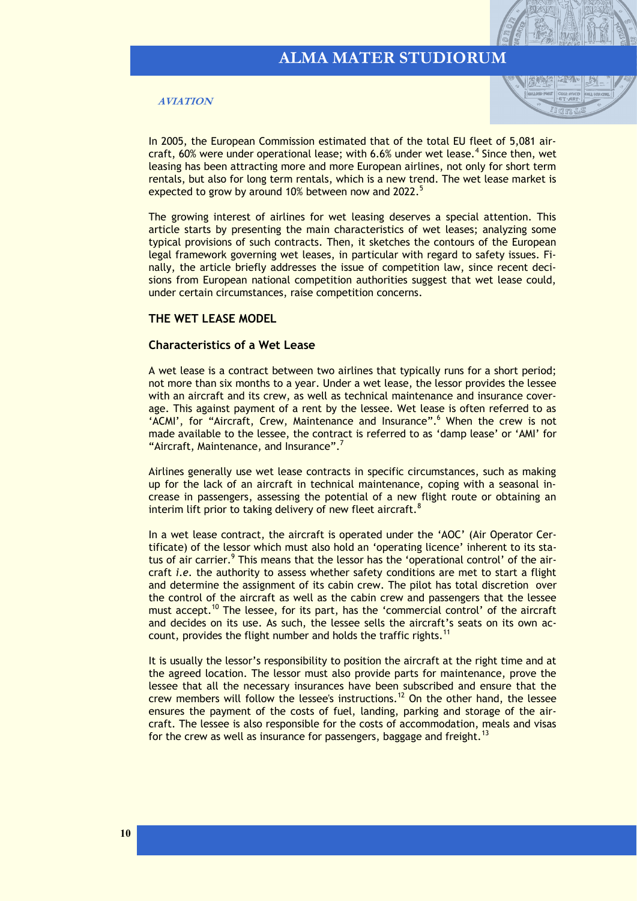#### **AVIATION**



In 2005, the European Commission estimated that of the total EU fleet of 5,081 aircraft, 60% were under operational lease; with 6.6% under wet lease.<sup>4</sup> Since then, wet leasing has been attracting more and more European airlines, not only for short term rentals, but also for long term rentals, which is a new trend. The wet lease market is expected to grow by around 10% between now and 2022.<sup>5</sup>

The growing interest of airlines for wet leasing deserves a special attention. This article starts by presenting the main characteristics of wet leases; analyzing some typical provisions of such contracts. Then, it sketches the contours of the European legal framework governing wet leases, in particular with regard to safety issues. Finally, the article briefly addresses the issue of competition law, since recent decisions from European national competition authorities suggest that wet lease could, under certain circumstances, raise competition concerns.

#### **THE WET LEASE MODEL**

#### **Characteristics of a Wet Lease**

A wet lease is a contract between two airlines that typically runs for a short period; not more than six months to a year. Under a wet lease, the lessor provides the lessee with an aircraft and its crew, as well as technical maintenance and insurance coverage. This against payment of a rent by the lessee. Wet lease is often referred to as 'ACMI', for "Aircraft, Crew, Maintenance and Insurance".<sup>6</sup> When the crew is not made available to the lessee, the contract is referred to as 'damp lease' or 'AMI' for "Aircraft, Maintenance, and Insurance".<sup>7</sup>

Airlines generally use wet lease contracts in specific circumstances, such as making up for the lack of an aircraft in technical maintenance, coping with a seasonal increase in passengers, assessing the potential of a new flight route or obtaining an interim lift prior to taking delivery of new fleet aircraft.<sup>8</sup>

In a wet lease contract, the aircraft is operated under the 'AOC' (Air Operator Certificate) of the lessor which must also hold an 'operating licence' inherent to its status of air carrier.<sup>9</sup> This means that the lessor has the 'operational control' of the aircraft *i.e.* the authority to assess whether safety conditions are met to start a flight and determine the assignment of its cabin crew. The pilot has total discretion over the control of the aircraft as well as the cabin crew and passengers that the lessee must accept.<sup>10</sup> The lessee, for its part, has the 'commercial control' of the aircraft and decides on its use. As such, the lessee sells the aircraft's seats on its own account, provides the flight number and holds the traffic rights.<sup>11</sup>

It is usually the lessor's responsibility to position the aircraft at the right time and at the agreed location. The lessor must also provide parts for maintenance, prove the lessee that all the necessary insurances have been subscribed and ensure that the crew members will follow the lessee's instructions.<sup>12</sup> On the other hand, the lessee ensures the payment of the costs of fuel, landing, parking and storage of the aircraft. The lessee is also responsible for the costs of accommodation, meals and visas for the crew as well as insurance for passengers, baggage and freight.<sup>13</sup>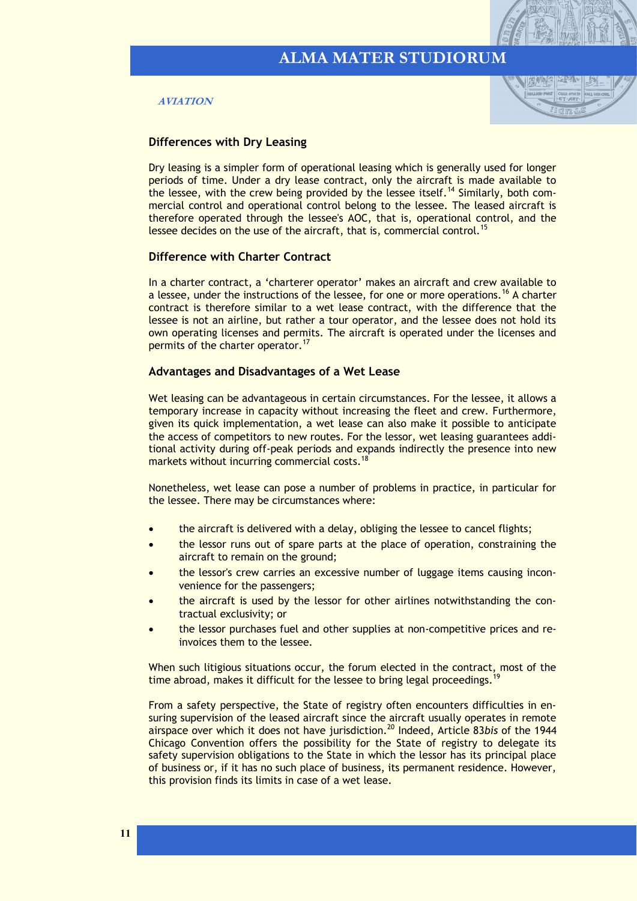



#### **Differences with Dry Leasing**

Dry leasing is a simpler form of operational leasing which is generally used for longer periods of time. Under a dry lease contract, only the aircraft is made available to the lessee, with the crew being provided by the lessee itself.<sup>14</sup> Similarly, both commercial control and operational control belong to the lessee. The leased aircraft is therefore operated through the lessee's AOC, that is, operational control, and the lessee decides on the use of the aircraft, that is, commercial control.<sup>15</sup>

#### **Difference with Charter Contract**

In a charter contract, a 'charterer operator' makes an aircraft and crew available to a lessee, under the instructions of the lessee, for one or more operations.<sup>16</sup> A charter contract is therefore similar to a wet lease contract, with the difference that the lessee is not an airline, but rather a tour operator, and the lessee does not hold its own operating licenses and permits. The aircraft is operated under the licenses and permits of the charter operator.<sup>17</sup>

#### **Advantages and Disadvantages of a Wet Lease**

Wet leasing can be advantageous in certain circumstances. For the lessee, it allows a temporary increase in capacity without increasing the fleet and crew. Furthermore, given its quick implementation, a wet lease can also make it possible to anticipate the access of competitors to new routes. For the lessor, wet leasing guarantees additional activity during off-peak periods and expands indirectly the presence into new markets without incurring commercial costs.<sup>18</sup>

Nonetheless, wet lease can pose a number of problems in practice, in particular for the lessee. There may be circumstances where:

- the aircraft is delivered with a delay, obliging the lessee to cancel flights;
- the lessor runs out of spare parts at the place of operation, constraining the aircraft to remain on the ground;
- the lessor's crew carries an excessive number of luggage items causing inconvenience for the passengers;
- the aircraft is used by the lessor for other airlines notwithstanding the contractual exclusivity; or
- the lessor purchases fuel and other supplies at non-competitive prices and reinvoices them to the lessee.

When such litigious situations occur, the forum elected in the contract, most of the time abroad, makes it difficult for the lessee to bring legal proceedings.<sup>1</sup>

From a safety perspective, the State of registry often encounters difficulties in ensuring supervision of the leased aircraft since the aircraft usually operates in remote airspace over which it does not have jurisdiction.<sup>20</sup> Indeed, Article 83*bis* of the 1944 Chicago Convention offers the possibility for the State of registry to delegate its safety supervision obligations to the State in which the lessor has its principal place of business or, if it has no such place of business, its permanent residence. However, this provision finds its limits in case of a wet lease.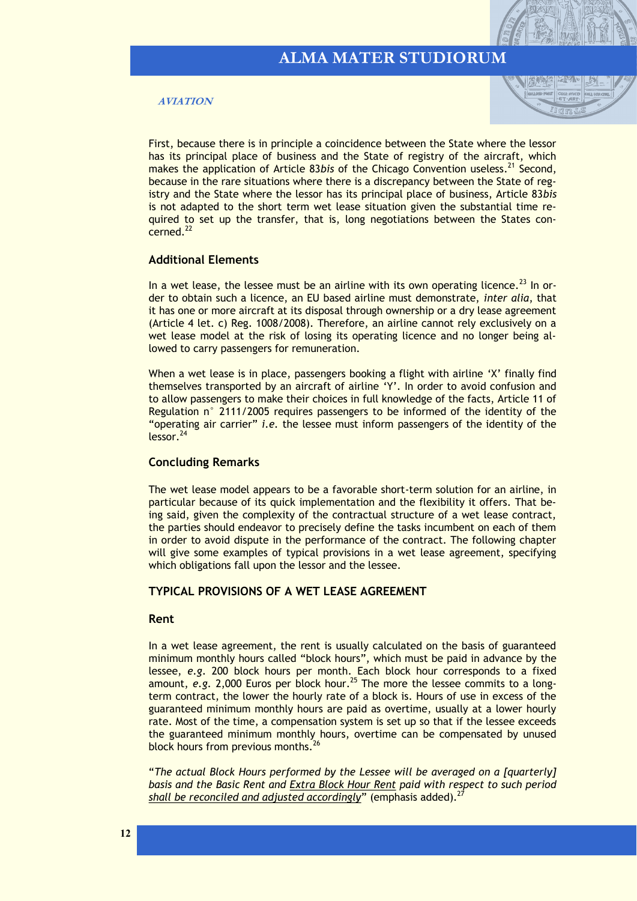#### **AVIATION**



First, because there is in principle a coincidence between the State where the lessor has its principal place of business and the State of registry of the aircraft, which makes the application of Article 83*bis* of the Chicago Convention useless.<sup>21</sup> Second, because in the rare situations where there is a discrepancy between the State of registry and the State where the lessor has its principal place of business, Article 83*bis* is not adapted to the short term wet lease situation given the substantial time required to set up the transfer, that is, long negotiations between the States concerned.<sup>22</sup>

#### **Additional Elements**

In a wet lease, the lessee must be an airline with its own operating licence.<sup>23</sup> In order to obtain such a licence, an EU based airline must demonstrate, *inter alia*, that it has one or more aircraft at its disposal through ownership or a dry lease agreement (Article 4 let. c) Reg. 1008/2008). Therefore, an airline cannot rely exclusively on a wet lease model at the risk of losing its operating licence and no longer being allowed to carry passengers for remuneration.

When a wet lease is in place, passengers booking a flight with airline 'X' finally find themselves transported by an aircraft of airline 'Y'. In order to avoid confusion and to allow passengers to make their choices in full knowledge of the facts, Article 11 of Regulation n° 2111/2005 requires passengers to be informed of the identity of the "operating air carrier" *i.e.* the lessee must inform passengers of the identity of the lessor.<sup>24</sup>

#### **Concluding Remarks**

The wet lease model appears to be a favorable short-term solution for an airline, in particular because of its quick implementation and the flexibility it offers. That being said, given the complexity of the contractual structure of a wet lease contract, the parties should endeavor to precisely define the tasks incumbent on each of them in order to avoid dispute in the performance of the contract. The following chapter will give some examples of typical provisions in a wet lease agreement, specifying which obligations fall upon the lessor and the lessee.

#### **TYPICAL PROVISIONS OF A WET LEASE AGREEMENT**

#### **Rent**

In a wet lease agreement, the rent is usually calculated on the basis of guaranteed minimum monthly hours called "block hours", which must be paid in advance by the lessee, *e.g*. 200 block hours per month. Each block hour corresponds to a fixed amount, *e.g.* 2,000 Euros per block hour.<sup>25</sup> The more the lessee commits to a longterm contract, the lower the hourly rate of a block is. Hours of use in excess of the guaranteed minimum monthly hours are paid as overtime, usually at a lower hourly rate. Most of the time, a compensation system is set up so that if the lessee exceeds the guaranteed minimum monthly hours, overtime can be compensated by unused block hours from previous months.<sup>26</sup>

"*The actual Block Hours performed by the Lessee will be averaged on a [quarterly] basis and the Basic Rent and Extra Block Hour Rent paid with respect to such period*  shall be reconciled and adjusted accordingly" (emphasis added).<sup>27</sup>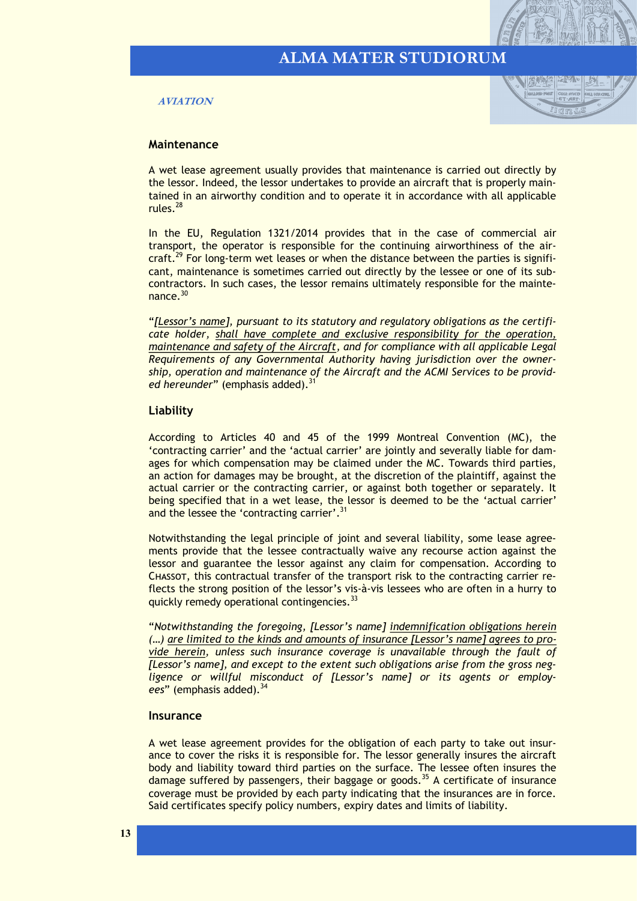#### **AVIATION**



#### **Maintenance**

A wet lease agreement usually provides that maintenance is carried out directly by the lessor. Indeed, the lessor undertakes to provide an aircraft that is properly maintained in an airworthy condition and to operate it in accordance with all applicable rules.<sup>28</sup>

In the EU, Regulation 1321/2014 provides that in the case of commercial air transport, the operator is responsible for the continuing airworthiness of the aircraft.<sup>29</sup> For long-term wet leases or when the distance between the parties is significant, maintenance is sometimes carried out directly by the lessee or one of its subcontractors. In such cases, the lessor remains ultimately responsible for the maintenance.<sup>30</sup>

"*[Lessor's name], pursuant to its statutory and regulatory obligations as the certificate holder, shall have complete and exclusive responsibility for the operation, maintenance and safety of the Aircraft, and for compliance with all applicable Legal Requirements of any Governmental Authority having jurisdiction over the ownership, operation and maintenance of the Aircraft and the ACMI Services to be provid*ed hereunder" (emphasis added).<sup>3</sup>

#### **Liability**

According to Articles 40 and 45 of the 1999 Montreal Convention (MC), the 'contracting carrier' and the 'actual carrier' are jointly and severally liable for damages for which compensation may be claimed under the MC. Towards third parties, an action for damages may be brought, at the discretion of the plaintiff, against the actual carrier or the contracting carrier, or against both together or separately. It being specified that in a wet lease, the lessor is deemed to be the 'actual carrier' and the lessee the 'contracting carrier'.<sup>31</sup>

Notwithstanding the legal principle of joint and several liability, some lease agreements provide that the lessee contractually waive any recourse action against the lessor and guarantee the lessor against any claim for compensation. According to Chassot, this contractual transfer of the transport risk to the contracting carrier reflects the strong position of the lessor's vis-à-vis lessees who are often in a hurry to quickly remedy operational contingencies.<sup>33</sup>

"*Notwithstanding the foregoing, [Lessor's name] indemnification obligations herein (…) are limited to the kinds and amounts of insurance [Lessor's name] agrees to provide herein, unless such insurance coverage is unavailable through the fault of [Lessor's name], and except to the extent such obligations arise from the gross negligence or willful misconduct of [Lessor's name] or its agents or employ*ees" (emphasis added).<sup>34</sup>

#### **Insurance**

A wet lease agreement provides for the obligation of each party to take out insurance to cover the risks it is responsible for. The lessor generally insures the aircraft body and liability toward third parties on the surface. The lessee often insures the damage suffered by passengers, their baggage or goods.<sup>35</sup> A certificate of insurance coverage must be provided by each party indicating that the insurances are in force. Said certificates specify policy numbers, expiry dates and limits of liability.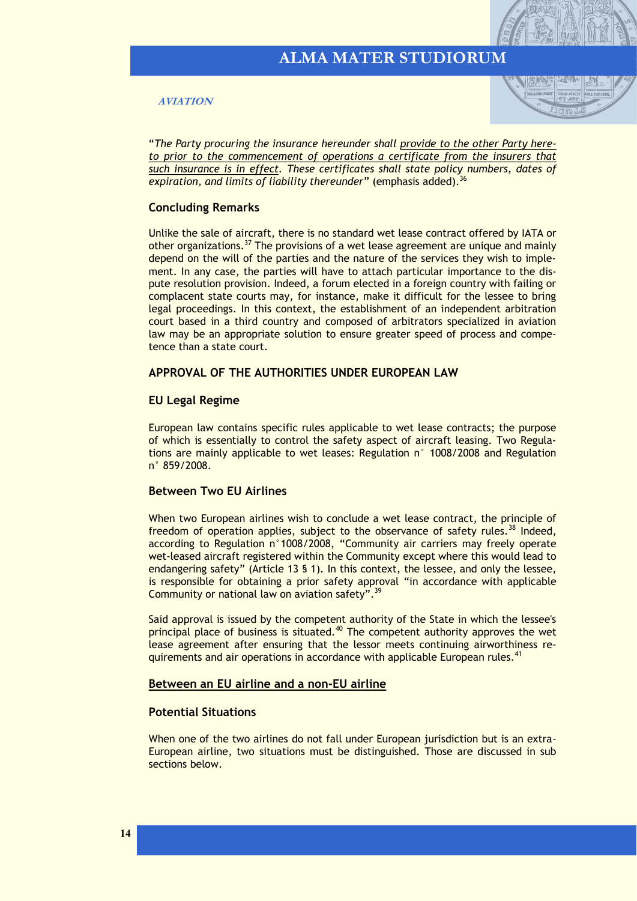**AVIATION**



"*The Party procuring the insurance hereunder shall provide to the other Party hereto prior to the commencement of operations a certificate from the insurers that such insurance is in effect. These certificates shall state policy numbers, dates of*  expiration, and limits of liability thereunder" (emphasis added).<sup>36</sup>

#### **Concluding Remarks**

Unlike the sale of aircraft, there is no standard wet lease contract offered by IATA or other organizations.<sup>37</sup> The provisions of a wet lease agreement are unique and mainly depend on the will of the parties and the nature of the services they wish to implement. In any case, the parties will have to attach particular importance to the dispute resolution provision. Indeed, a forum elected in a foreign country with failing or complacent state courts may, for instance, make it difficult for the lessee to bring legal proceedings. In this context, the establishment of an independent arbitration court based in a third country and composed of arbitrators specialized in aviation law may be an appropriate solution to ensure greater speed of process and competence than a state court.

#### **APPROVAL OF THE AUTHORITIES UNDER EUROPEAN LAW**

#### **EU Legal Regime**

European law contains specific rules applicable to wet lease contracts; the purpose of which is essentially to control the safety aspect of aircraft leasing. Two Regulations are mainly applicable to wet leases: Regulation n° 1008/2008 and Regulation n° 859/2008.

#### **Between Two EU Airlines**

When two European airlines wish to conclude a wet lease contract, the principle of freedom of operation applies, subject to the observance of safety rules.<sup>38</sup> Indeed, according to Regulation n°1008/2008, "Community air carriers may freely operate wet-leased aircraft registered within the Community except where this would lead to endangering safety" (Article 13 § 1). In this context, the lessee, and only the lessee, is responsible for obtaining a prior safety approval "in accordance with applicable Community or national law on aviation safety".<sup>39</sup>

Said approval is issued by the competent authority of the State in which the lessee's principal place of business is situated.<sup>40</sup> The competent authority approves the wet lease agreement after ensuring that the lessor meets continuing airworthiness requirements and air operations in accordance with applicable European rules.<sup>41</sup>

#### **Between an EU airline and a non-EU airline**

#### **Potential Situations**

When one of the two airlines do not fall under European jurisdiction but is an extra-European airline, two situations must be distinguished. Those are discussed in sub sections below.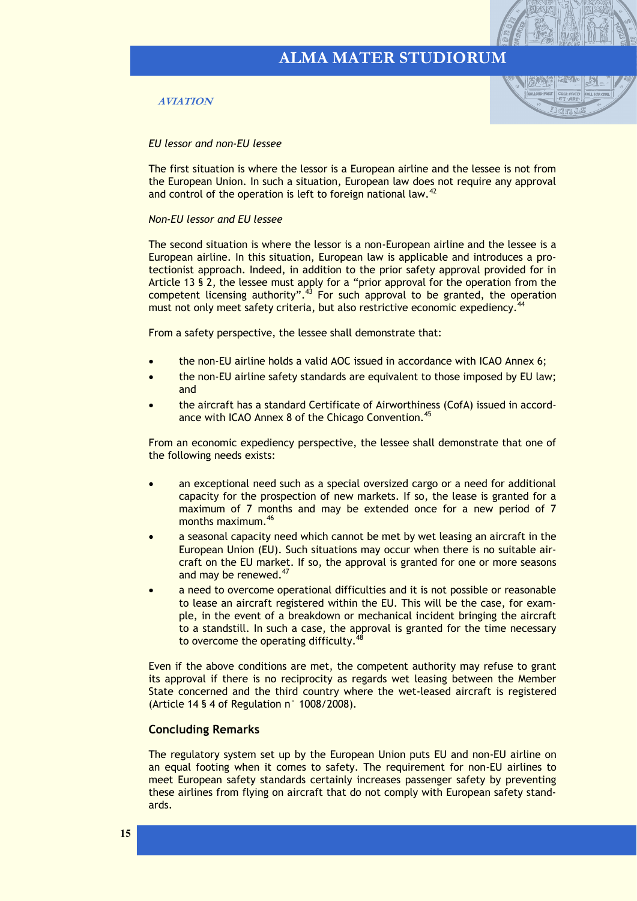#### **AVIATION**



#### *EU lessor and non-EU lessee*

The first situation is where the lessor is a European airline and the lessee is not from the European Union. In such a situation, European law does not require any approval and control of the operation is left to foreign national law.<sup>42</sup>

#### *Non-EU lessor and EU lessee*

The second situation is where the lessor is a non-European airline and the lessee is a European airline. In this situation, European law is applicable and introduces a protectionist approach. Indeed, in addition to the prior safety approval provided for in Article 13 § 2, the lessee must apply for a "prior approval for the operation from the competent licensing authority".<sup>43</sup> For such approval to be granted, the operation must not only meet safety criteria, but also restrictive economic expediency.<sup>4</sup>

From a safety perspective, the lessee shall demonstrate that:

- the non-EU airline holds a valid AOC issued in accordance with ICAO Annex 6;
- the non-EU airline safety standards are equivalent to those imposed by EU law; and
- the aircraft has a standard Certificate of Airworthiness (CofA) issued in accordance with ICAO Annex 8 of the Chicago Convention.<sup>45</sup>

From an economic expediency perspective, the lessee shall demonstrate that one of the following needs exists:

- an exceptional need such as a special oversized cargo or a need for additional capacity for the prospection of new markets. If so, the lease is granted for a maximum of 7 months and may be extended once for a new period of 7 months maximum.<sup>46</sup>
- a seasonal capacity need which cannot be met by wet leasing an aircraft in the European Union (EU). Such situations may occur when there is no suitable aircraft on the EU market. If so, the approval is granted for one or more seasons and may be renewed.<sup>47</sup>
- a need to overcome operational difficulties and it is not possible or reasonable to lease an aircraft registered within the EU. This will be the case, for example, in the event of a breakdown or mechanical incident bringing the aircraft to a standstill. In such a case, the approval is granted for the time necessary to overcome the operating difficulty.<sup>48</sup>

Even if the above conditions are met, the competent authority may refuse to grant its approval if there is no reciprocity as regards wet leasing between the Member State concerned and the third country where the wet-leased aircraft is registered (Article 14 § 4 of Regulation n° 1008/2008).

#### **Concluding Remarks**

The regulatory system set up by the European Union puts EU and non-EU airline on an equal footing when it comes to safety. The requirement for non-EU airlines to meet European safety standards certainly increases passenger safety by preventing these airlines from flying on aircraft that do not comply with European safety standards.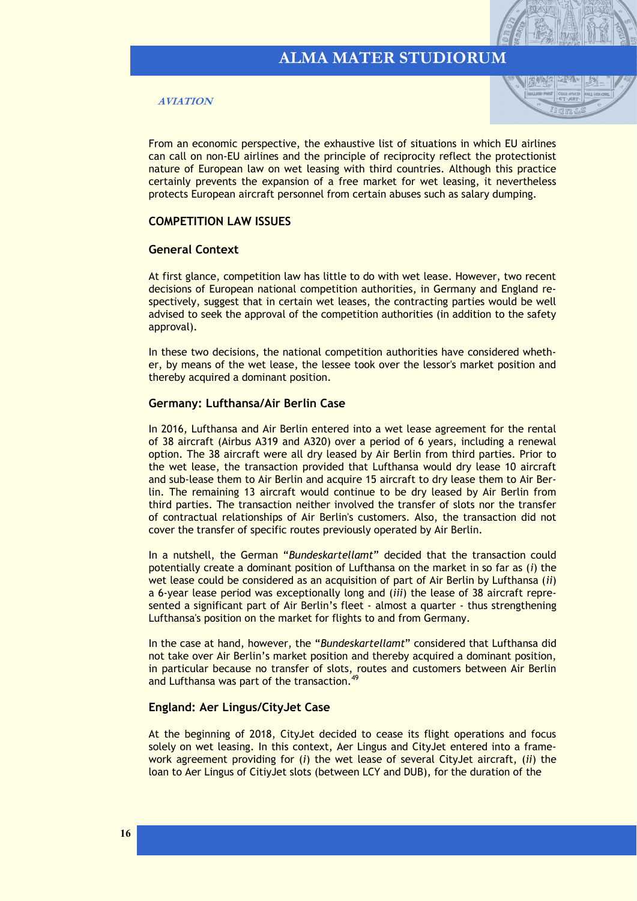#### **AVIATION**



From an economic perspective, the exhaustive list of situations in which EU airlines can call on non-EU airlines and the principle of reciprocity reflect the protectionist nature of European law on wet leasing with third countries. Although this practice certainly prevents the expansion of a free market for wet leasing, it nevertheless protects European aircraft personnel from certain abuses such as salary dumping.

#### **COMPETITION LAW ISSUES**

#### **General Context**

At first glance, competition law has little to do with wet lease. However, two recent decisions of European national competition authorities, in Germany and England respectively, suggest that in certain wet leases, the contracting parties would be well advised to seek the approval of the competition authorities (in addition to the safety approval).

In these two decisions, the national competition authorities have considered whether, by means of the wet lease, the lessee took over the lessor's market position and thereby acquired a dominant position.

#### **Germany: Lufthansa/Air Berlin Case**

In 2016, Lufthansa and Air Berlin entered into a wet lease agreement for the rental of 38 aircraft (Airbus A319 and A320) over a period of 6 years, including a renewal option. The 38 aircraft were all dry leased by Air Berlin from third parties. Prior to the wet lease, the transaction provided that Lufthansa would dry lease 10 aircraft and sub-lease them to Air Berlin and acquire 15 aircraft to dry lease them to Air Berlin. The remaining 13 aircraft would continue to be dry leased by Air Berlin from third parties. The transaction neither involved the transfer of slots nor the transfer of contractual relationships of Air Berlin's customers. Also, the transaction did not cover the transfer of specific routes previously operated by Air Berlin.

In a nutshell, the German "*Bundeskartellamt*" decided that the transaction could potentially create a dominant position of Lufthansa on the market in so far as (*i*) the wet lease could be considered as an acquisition of part of Air Berlin by Lufthansa (*ii*) a 6-year lease period was exceptionally long and (*iii*) the lease of 38 aircraft represented a significant part of Air Berlin's fleet - almost a quarter - thus strengthening Lufthansa's position on the market for flights to and from Germany.

In the case at hand, however, the "*Bundeskartellamt*" considered that Lufthansa did not take over Air Berlin's market position and thereby acquired a dominant position, in particular because no transfer of slots, routes and customers between Air Berlin and Lufthansa was part of the transaction.<sup>49</sup>

#### **England: Aer Lingus/CityJet Case**

At the beginning of 2018, CityJet decided to cease its flight operations and focus solely on wet leasing. In this context, Aer Lingus and CityJet entered into a framework agreement providing for (*i*) the wet lease of several CityJet aircraft, (*ii*) the loan to Aer Lingus of CitiyJet slots (between LCY and DUB), for the duration of the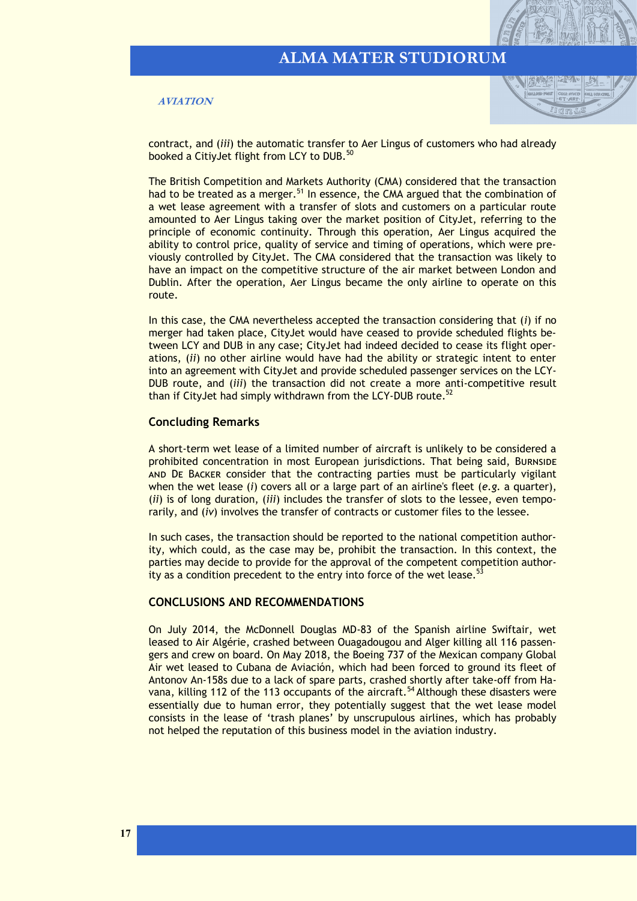**AVIATION**



contract, and (*iii*) the automatic transfer to Aer Lingus of customers who had already booked a CitiyJet flight from LCY to DUB.<sup>50</sup>

The British Competition and Markets Authority (CMA) considered that the transaction had to be treated as a merger.<sup>51</sup> In essence, the CMA argued that the combination of a wet lease agreement with a transfer of slots and customers on a particular route amounted to Aer Lingus taking over the market position of CityJet, referring to the principle of economic continuity. Through this operation, Aer Lingus acquired the ability to control price, quality of service and timing of operations, which were previously controlled by CityJet. The CMA considered that the transaction was likely to have an impact on the competitive structure of the air market between London and Dublin. After the operation, Aer Lingus became the only airline to operate on this route.

In this case, the CMA nevertheless accepted the transaction considering that (*i*) if no merger had taken place, CityJet would have ceased to provide scheduled flights between LCY and DUB in any case; CityJet had indeed decided to cease its flight operations, (*ii*) no other airline would have had the ability or strategic intent to enter into an agreement with CityJet and provide scheduled passenger services on the LCY-DUB route, and (*iii*) the transaction did not create a more anti-competitive result than if CityJet had simply withdrawn from the LCY-DUB route.<sup>52</sup>

#### **Concluding Remarks**

A short-term wet lease of a limited number of aircraft is unlikely to be considered a prohibited concentration in most European jurisdictions. That being said, Burnside and De Backer consider that the contracting parties must be particularly vigilant when the wet lease (*i*) covers all or a large part of an airline's fleet (*e.g.* a quarter), (*ii*) is of long duration, (*iii*) includes the transfer of slots to the lessee, even temporarily, and (*iv*) involves the transfer of contracts or customer files to the lessee.

In such cases, the transaction should be reported to the national competition authority, which could, as the case may be, prohibit the transaction. In this context, the parties may decide to provide for the approval of the competent competition authority as a condition precedent to the entry into force of the wet lease.<sup>53</sup>

#### **CONCLUSIONS AND RECOMMENDATIONS**

On July 2014, the McDonnell Douglas MD-83 of the Spanish airline Swiftair, wet leased to Air Algérie, crashed between Ouagadougou and Alger killing all 116 passengers and crew on board. On May 2018, the Boeing 737 of the Mexican company Global Air wet leased to Cubana de Aviación, which had been forced to ground its fleet of Antonov An-158s due to a lack of spare parts, crashed shortly after take-off from Havana, killing 112 of the 113 occupants of the aircraft.<sup>54</sup> Although these disasters were essentially due to human error, they potentially suggest that the wet lease model consists in the lease of 'trash planes' by unscrupulous airlines, which has probably not helped the reputation of this business model in the aviation industry.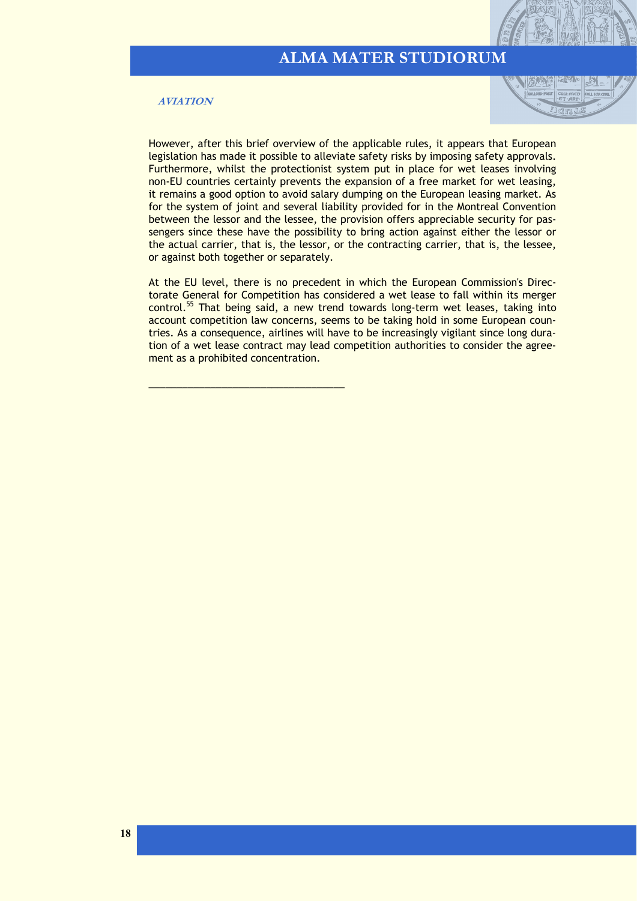#### **AVIATION**

\_\_\_\_\_\_\_\_\_\_\_\_\_\_\_\_\_\_\_\_\_\_\_\_\_\_\_\_\_\_\_\_\_\_\_



However, after this brief overview of the applicable rules, it appears that European legislation has made it possible to alleviate safety risks by imposing safety approvals. Furthermore, whilst the protectionist system put in place for wet leases involving non-EU countries certainly prevents the expansion of a free market for wet leasing, it remains a good option to avoid salary dumping on the European leasing market. As for the system of joint and several liability provided for in the Montreal Convention between the lessor and the lessee, the provision offers appreciable security for passengers since these have the possibility to bring action against either the lessor or the actual carrier, that is, the lessor, or the contracting carrier, that is, the lessee, or against both together or separately.

At the EU level, there is no precedent in which the European Commission's Directorate General for Competition has considered a wet lease to fall within its merger control.<sup>55</sup> That being said, a new trend towards long-term wet leases, taking into account competition law concerns, seems to be taking hold in some European countries. As a consequence, airlines will have to be increasingly vigilant since long duration of a wet lease contract may lead competition authorities to consider the agreement as a prohibited concentration.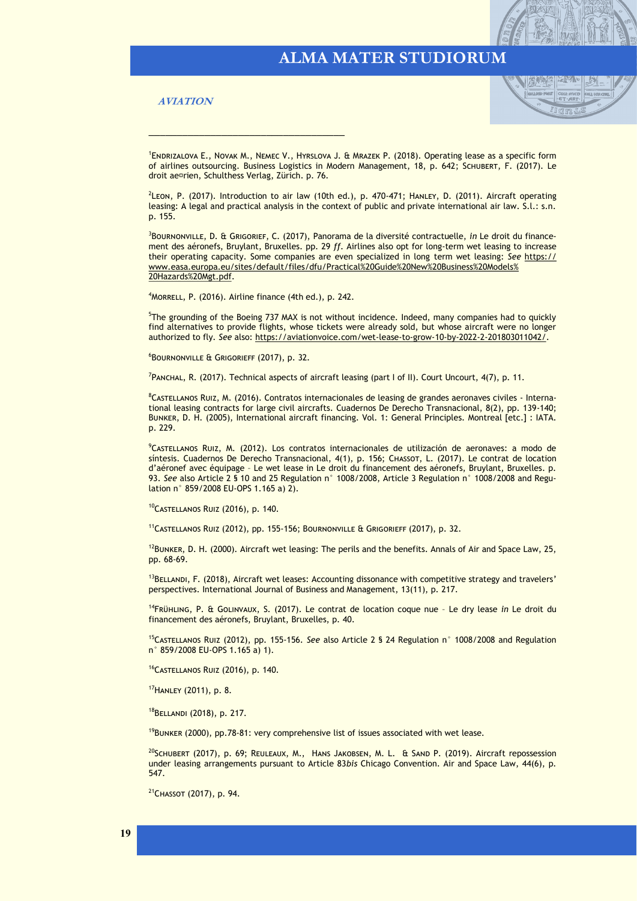**AVIATION**



<sup>1</sup>ENDRIZALOVA E., NOVAK M., NEMEC V., HYRSLOVA J. & MRAZEK P. (2018). Operating lease as a specific form of airlines outsourcing. Business Logistics in Modern Management, 18, p. 642; Schubert, F. (2017). Le droit aérien, Schulthess Verlag, Zürich. p. 76.

<sup>2</sup>LEON, P. (2017). Introduction to air law (10th ed.), p. 470-471; HANLEY, D. (2011). Aircraft operating leasing: A legal and practical analysis in the context of public and private international air law. S.l.: s.n. p. 155.

3 Bournonville, D. & Grigorief, C. (2017), Panorama de la diversité contractuelle, *in* Le droit du financement des aéronefs, Bruylant, Bruxelles. pp. 29 *ff*. Airlines also opt for long-term wet leasing to increase their operating capacity. Some companies are even specialized in long term wet leasing: *See* [https://](https://www.easa.europa.eu/sites/default/files/dfu/Practical%20Guide%20New%20Business%20Models%20Hazards%20Mgt.pdf) [www.easa.europa.eu/sites/default/files/dfu/Practical%20Guide%20New%20Business%20Models%](https://www.easa.europa.eu/sites/default/files/dfu/Practical%20Guide%20New%20Business%20Models%20Hazards%20Mgt.pdf) [20Hazards%20Mgt.pdf.](https://www.easa.europa.eu/sites/default/files/dfu/Practical%20Guide%20New%20Business%20Models%20Hazards%20Mgt.pdf) 

<sup>4</sup>Morrell, P. (2016). Airline finance (4th ed.), p. 242.

\_\_\_\_\_\_\_\_\_\_\_\_\_\_\_\_\_\_\_\_\_\_\_\_\_\_\_\_\_\_\_\_\_\_\_

<sup>5</sup>The grounding of the Boeing 737 MAX is not without incidence. Indeed, many companies had to quickly find alternatives to provide flights, whose tickets were already sold, but whose aircraft were no longer authorized to fly. *See* also: [https://aviationvoice.com/wet](https://aviationvoice.com/wet-lease-to-grow-10-by-2022-2-201803011042/)-lease-to-grow-10-by-2022-2-201803011042/.

 $6$ Bournonville & Grigorieff (2017), p. 32.

7 Panchal, R. (2017). Technical aspects of aircraft leasing (part I of II). Court Uncourt, 4(7), p. 11.

8CASTELLANOS RUIZ, M. (2016). Contratos internacionales de leasing de grandes aeronaves civiles - International leasing contracts for large civil aircrafts. Cuadernos De Derecho Transnacional, 8(2), pp. 139-140; Bunker, D. H. (2005), International aircraft financing. Vol. 1: General Principles. Montreal [etc.] : IATA. p. 229.

<sup>9</sup>Castellanos Ruiz, M. (2012). Los contratos internacionales de utilización de aeronaves: a modo de síntesis. Cuadernos De Derecho Transnacional, 4(1), p. 156; CHASSOT, L. (2017). Le contrat de location d'aéronef avec équipage – Le wet lease in Le droit du financement des aéronefs, Bruylant, Bruxelles. p. 93. *See* also Article 2 § 10 and 25 Regulation n° 1008/2008, Article 3 Regulation n° 1008/2008 and Regulation n° 859/2008 EU-OPS 1.165 a) 2).

10CASTELLANOS RUIZ (2016), p. 140.

<sup>11</sup>Castellanos Ruiz (2012), pp. 155-156; Bournonville & Grigorieff (2017), p. 32.

 $12$ Bunker, D. H. (2000). Aircraft wet leasing: The perils and the benefits. Annals of Air and Space Law, 25, pp. 68-69.

 $<sup>13</sup>$ BELLANDI, F. (2018), Aircraft wet leases: Accounting dissonance with competitive strategy and travelers'</sup> perspectives. International Journal of Business and Management, 13(11), p. 217.

<sup>14</sup>Frühling, P. & Golinvaux, S. (2017). Le contrat de location coque nue – Le dry lease *in* Le droit du financement des aéronefs, Bruylant, Bruxelles, p. 40.

<sup>15</sup>Castellanos Ruiz (2012), pp. 155-156. *See* also Article 2 § 24 Regulation n° 1008/2008 and Regulation n° 859/2008 EU-OPS 1.165 a) 1).

<sup>16</sup>Castellanos Ruiz (2016), p. 140.

<sup>17</sup>Hanley (2011), p. 8.

<sup>18</sup>Bellandi (2018), p. 217.

 $19$ BUNKER (2000), pp.78-81: very comprehensive list of issues associated with wet lease.

 $^{20}$ SCHUBERT (2017), p. 69; REULEAUX, M., HANS JAKOBSEN, M. L. & SAND P. (2019). Aircraft repossession under leasing arrangements pursuant to Article 83*bis* Chicago Convention. Air and Space Law, 44(6), p. 547.

<sup>21</sup> Снаѕѕот (2017), р. 94.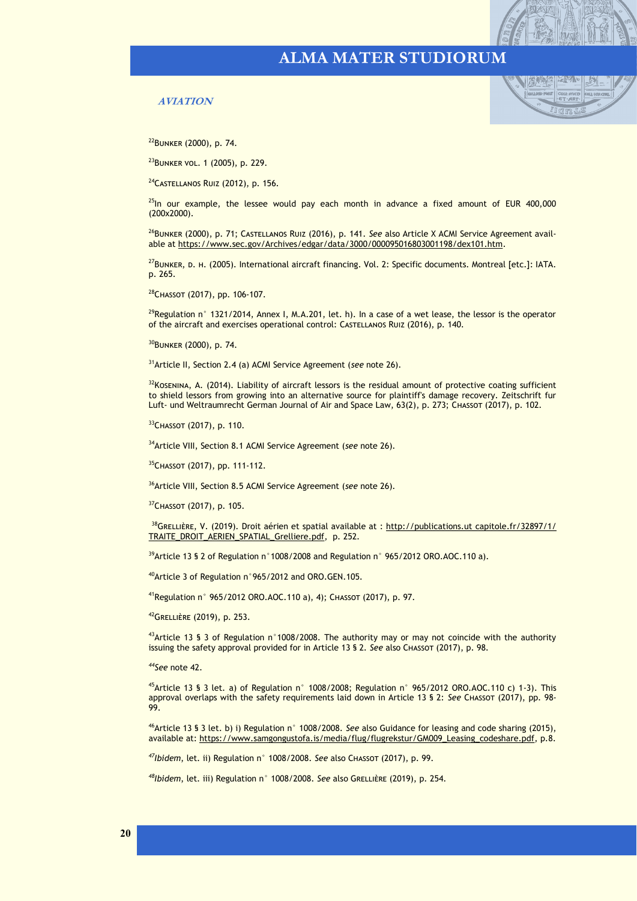#### **AVIATION**



<sup>22</sup>Bunker (2000), p. 74.

<sup>23</sup>Bunker vol. 1 (2005), p. 229.

<sup>24</sup>Castellanos Ruiz (2012), p. 156.

 $^{25}$ In our example, the lessee would pay each month in advance a fixed amount of EUR 400,000 (200x2000).

<sup>26</sup>BUNKER (2000), p. 71; CASTELLANOS RUIZ (2016), p. 141. See also Article X ACMI Service Agreement available at [https://www.sec.gov/Archives/edgar/data/3000/000095016803001198/dex101.htm.](https://www.sec.gov/Archives/edgar/data/3000/000095016803001198/dex101.htm)

<sup>27</sup>BunkER, D. H. (2005). International aircraft financing. Vol. 2: Specific documents. Montreal [etc.]: IATA. p. 265.

<sup>28</sup>Chassot (2017), pp. 106-107.

<sup>29</sup>Regulation n° 1321/2014, Annex I, M.A.201, let. h). In a case of a wet lease, the lessor is the operator of the aircraft and exercises operational control: Castellanos Ruiz (2016), p. 140.

<sup>30</sup>Bunker (2000), p. 74.

<sup>31</sup>Article II, Section 2.4 (a) ACMI Service Agreement (*see* note 26).

 $32K$ OSENINA, A. (2014). Liability of aircraft lessors is the residual amount of protective coating sufficient to shield lessors from growing into an alternative source for plaintiff's damage recovery. Zeitschrift fur Luft- und Weltraumrecht German Journal of Air and Space Law, 63(2), p. 273; Chassot (2017), p. 102.

33 CHASSOT (2017), p. 110.

<sup>34</sup>Article VIII, Section 8.1 ACMI Service Agreement (*see* note 26).

<sup>35</sup>Chassot (2017), pp. 111-112.

<sup>36</sup>Article VIII, Section 8.5 ACMI Service Agreement (*see* note 26).

<sup>37</sup>Снаssот (2017), р. 105.

<sup>38</sup>GRELLIÈRE, V. (2019). Droit aérien et spatial available at : [http://publications.ut](http://publications.ut capitole.fr/32897/1/TRAITE_DROIT_AERIEN_SPATIAL_Grelliere.pdf) capitole.fr/32897/1/ [TRAITE\\_DROIT\\_AERIEN\\_SPATIAL\\_Grelliere.pdf,](http://publications.ut capitole.fr/32897/1/TRAITE_DROIT_AERIEN_SPATIAL_Grelliere.pdf) p. 252.

<sup>39</sup>Article 13 § 2 of Regulation n°1008/2008 and Regulation n° 965/2012 ORO.AOC.110 a).

<sup>40</sup>Article 3 of Regulation n°965/2012 and ORO.GEN.105.

<sup>41</sup>Regulation n° 965/2012 ORO.AOC.110 a), 4); Chassot (2017), p. 97.

<sup>42</sup>Grellière (2019), p. 253.

<sup>43</sup>Article 13 § 3 of Regulation n°1008/2008. The authority may or may not coincide with the authority issuing the safety approval provided for in Article 13 § 2. *See* also Chassot (2017), p. 98.

*<sup>44</sup>See* note 42.

<sup>45</sup>Article 13 § 3 let. a) of Regulation n° 1008/2008; Regulation n° 965/2012 ORO.AOC.110 c) 1-3). This approval overlaps with the safety requirements laid down in Article 13 § 2: *See* Chassot (2017), pp. 98- 99.

<sup>46</sup>Article 13 § 3 let. b) i) Regulation n° 1008/2008. *See* also Guidance for leasing and code sharing (2015), available at: [https://www.samgongustofa.is/media/flug/flugrekstur/GM009\\_Leasing\\_codeshare.pdf,](https://www.samgongustofa.is/media/flug/flugrekstur/GM009_Leasing_codeshare.pdf) p.8.

*<sup>47</sup>Ibidem*, let. ii) Regulation n° 1008/2008. *See* also Chassot (2017), p. 99.

<sup>48</sup>*Ibidem*, let. iii) Regulation n° 1008/2008. See also GRELLIÈRE (2019), p. 254.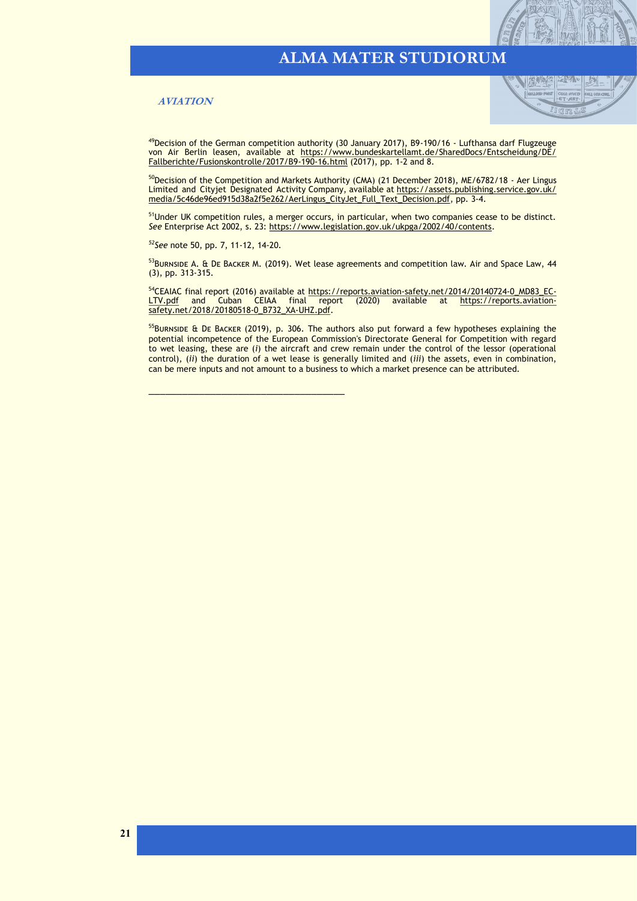#### **AVIATION**



<sup>49</sup>Decision of the German competition authority (30 January 2017), B9-190/16 - Lufthansa darf Flugzeuge von Air Berlin leasen, available at [https://www.bundeskartellamt.de/SharedDocs/Entscheidung/DE/](https://www.bundeskartellamt.de/SharedDocs/Entscheidung/DE/Fallberichte/Fusionskontrolle/2017/B9-190-16.html) [Fallberichte/Fusionskontrolle/2017/B9](https://www.bundeskartellamt.de/SharedDocs/Entscheidung/DE/Fallberichte/Fusionskontrolle/2017/B9-190-16.html)-190-16.html (2017), pp. 1-2 and 8.

<sup>50</sup>Decision of the Competition and Markets Authority (CMA) (21 December 2018), ME/6782/18 - Aer Lingus Limited and Cityjet Designated Activity Company, available at [https://assets.publishing.service.gov.uk/](https://assets.publishing.service.gov.uk/media/5c46de96ed915d38a2f5e262/AerLingus_CityJet_Full_Text_Decision.pdf) [media/5c46de96ed915d38a2f5e262/AerLingus\\_CityJet\\_Full\\_Text\\_Decision.pdf,](https://assets.publishing.service.gov.uk/media/5c46de96ed915d38a2f5e262/AerLingus_CityJet_Full_Text_Decision.pdf) pp. 3-4.

<sup>51</sup>Under UK competition rules, a merger occurs, in particular, when two companies cease to be distinct. *See* Enterprise Act 2002, s. 23: [https://www.legislation.gov.uk/ukpga/2002/40/contents.](https://www.legislation.gov.uk/ukpga/2002/40/contents) 

*<sup>52</sup>See* note 50, pp. 7, 11-12, 14-20.

\_\_\_\_\_\_\_\_\_\_\_\_\_\_\_\_\_\_\_\_\_\_\_\_\_\_\_\_\_\_\_\_\_\_\_

53BURNSIDE A. & DE BACKER M. (2019). Wet lease agreements and competition law. Air and Space Law, 44 (3), pp. 313-315.

<sup>54</sup>CEAIAC final report (2016) available at https://reports.aviation-[safety.net/2014/20140724](https://reports.aviation-safety.net/2014/20140724-0_MD83_EC-LTV.pdf)-0\_MD83\_EC-[LTV.pdf](https://reports.aviation-safety.net/2014/20140724-0_MD83_EC-LTV.pdf) and Cuban CEIAA final report (2020) available at [https://reports.aviation](https://reports.aviation-safety.net/2018/20180518-0_B732_XA-UHZ.pdf)[safety.net/2018/20180518](https://reports.aviation-safety.net/2018/20180518-0_B732_XA-UHZ.pdf)-0\_B732\_XA-UHZ.pdf.

<sup>55</sup>BURNSIDE & DE BACKER (2019), p. 306. The authors also put forward a few hypotheses explaining the potential incompetence of the European Commission's Directorate General for Competition with regard to wet leasing, these are (*i*) the aircraft and crew remain under the control of the lessor (operational control), (*ii*) the duration of a wet lease is generally limited and (*iii*) the assets, even in combination, can be mere inputs and not amount to a business to which a market presence can be attributed.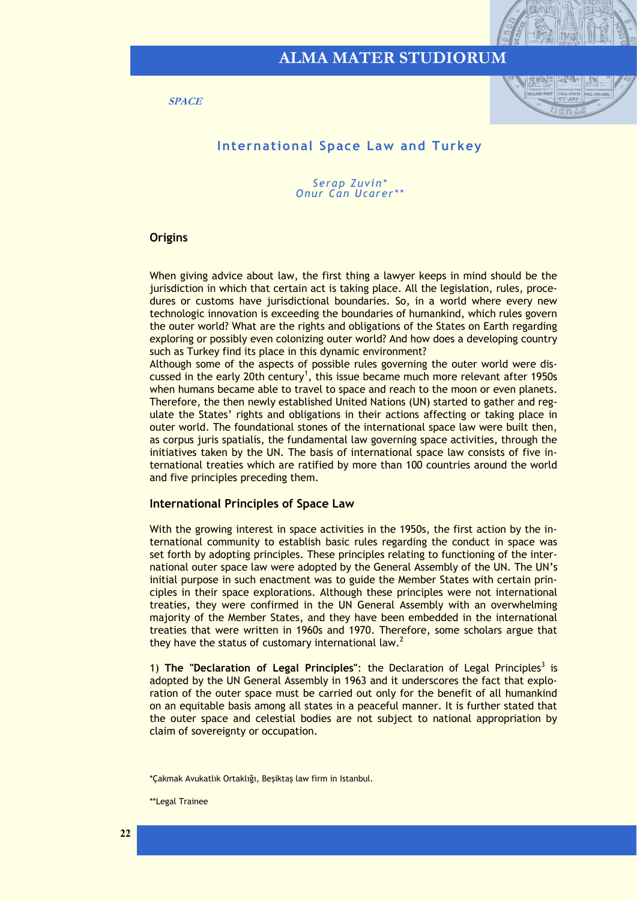<span id="page-21-0"></span>**SPACE**



#### **International Space Law and Turkey**

*Serap Zuvin\* Onur Can Ucarer\*\**

#### **Origins**

When giving advice about law, the first thing a lawyer keeps in mind should be the jurisdiction in which that certain act is taking place. All the legislation, rules, procedures or customs have jurisdictional boundaries. So, in a world where every new technologic innovation is exceeding the boundaries of humankind, which rules govern the outer world? What are the rights and obligations of the States on Earth regarding exploring or possibly even colonizing outer world? And how does a developing country such as Turkey find its place in this dynamic environment?

Although some of the aspects of possible rules governing the outer world were discussed in the early 20th century<sup>1</sup>, this issue became much more relevant after 1950s when humans became able to travel to space and reach to the moon or even planets. Therefore, the then newly established United Nations (UN) started to gather and regulate the States' rights and obligations in their actions affecting or taking place in outer world. The foundational stones of the international space law were built then, as corpus juris spatialis, the fundamental law governing space activities, through the initiatives taken by the UN. The basis of international space law consists of five international treaties which are ratified by more than 100 countries around the world and five principles preceding them.

#### **International Principles of Space Law**

With the growing interest in space activities in the 1950s, the first action by the international community to establish basic rules regarding the conduct in space was set forth by adopting principles. These principles relating to functioning of the international outer space law were adopted by the General Assembly of the UN. The UN's initial purpose in such enactment was to guide the Member States with certain principles in their space explorations. Although these principles were not international treaties, they were confirmed in the UN General Assembly with an overwhelming majority of the Member States, and they have been embedded in the international treaties that were written in 1960s and 1970. Therefore, some scholars argue that they have the status of customary international law.<sup>2</sup>

1) The "Declaration of Legal Principles": the Declaration of Legal Principles<sup>3</sup> is adopted by the UN General Assembly in 1963 and it underscores the fact that exploration of the outer space must be carried out only for the benefit of all humankind on an equitable basis among all states in a peaceful manner. It is further stated that the outer space and celestial bodies are not subject to national appropriation by claim of sovereignty or occupation.

<sup>\*</sup>Çakmak Avukatlık Ortaklığı, Beşiktaş law firm in Istanbul.

<sup>\*\*</sup>Legal Trainee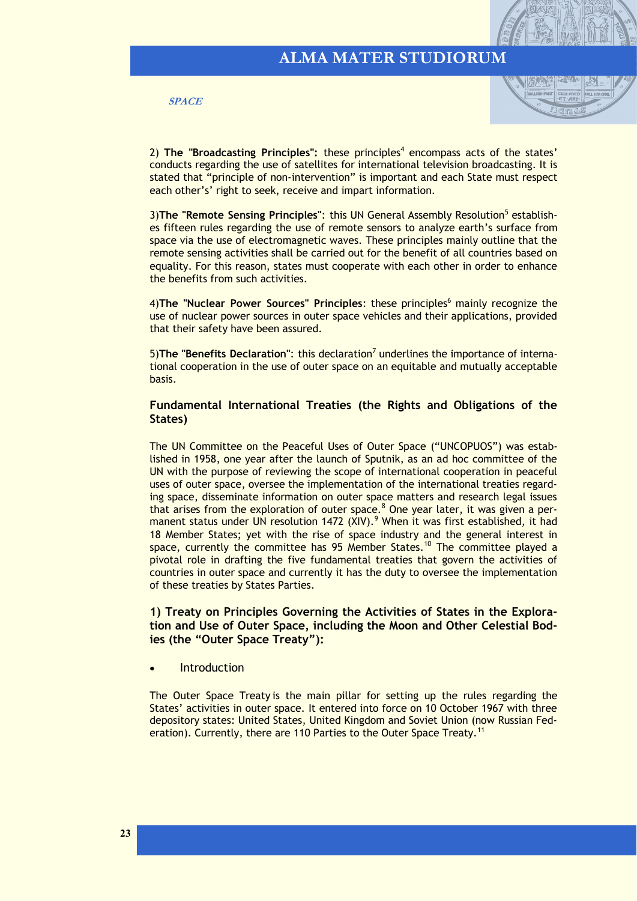



2) The "Broadcasting Principles": these principles<sup>4</sup> encompass acts of the states' conducts regarding the use of satellites for international television broadcasting. It is stated that "principle of non-intervention" is important and each State must respect each other's' right to seek, receive and impart information.

3) The "Remote Sensing Principles": this UN General Assembly Resolution<sup>5</sup> establishes fifteen rules regarding the use of remote sensors to analyze earth's surface from space via the use of electromagnetic waves. These principles mainly outline that the remote sensing activities shall be carried out for the benefit of all countries based on equality. For this reason, states must cooperate with each other in order to enhance the benefits from such activities.

4)**The "Nuclear Power Sources" Principles**: these principles<sup>6</sup> mainly recognize the use of nuclear power sources in outer space vehicles and their applications, provided that their safety have been assured.

5) The "Benefits Declaration": this declaration<sup>7</sup> underlines the importance of international cooperation in the use of outer space on an equitable and mutually acceptable basis.

#### **Fundamental International Treaties (the Rights and Obligations of the States)**

The UN Committee on the Peaceful Uses of Outer Space ("UNCOPUOS") was established in 1958, one year after the launch of Sputnik, as an ad hoc committee of the UN with the purpose of reviewing the scope of international cooperation in peaceful uses of outer space, oversee the implementation of the international treaties regarding space, disseminate information on outer space matters and research legal issues that arises from the exploration of outer space. $8$  One year later, it was given a permanent status under UN resolution 1472 (XIV).<sup>9</sup> When it was first established, it had 18 Member States; yet with the rise of space industry and the general interest in space, currently the committee has  $95$  Member States.<sup>10</sup> The committee played a pivotal role in drafting the five fundamental treaties that govern the activities of countries in outer space and currently it has the duty to oversee the implementation of these treaties by States Parties.

**1) Treaty on Principles Governing the Activities of States in the Exploration and Use of Outer Space, including the Moon and Other Celestial Bodies (the "Outer Space Treaty"):**

**Introduction** 

The Outer Space Treaty is the main pillar for setting up the rules regarding the States' activities in outer space. It entered into force on 10 October 1967 with three depository states: United States, United Kingdom and Soviet Union (now Russian Federation). Currently, there are 110 Parties to the Outer Space Treaty.<sup>11</sup>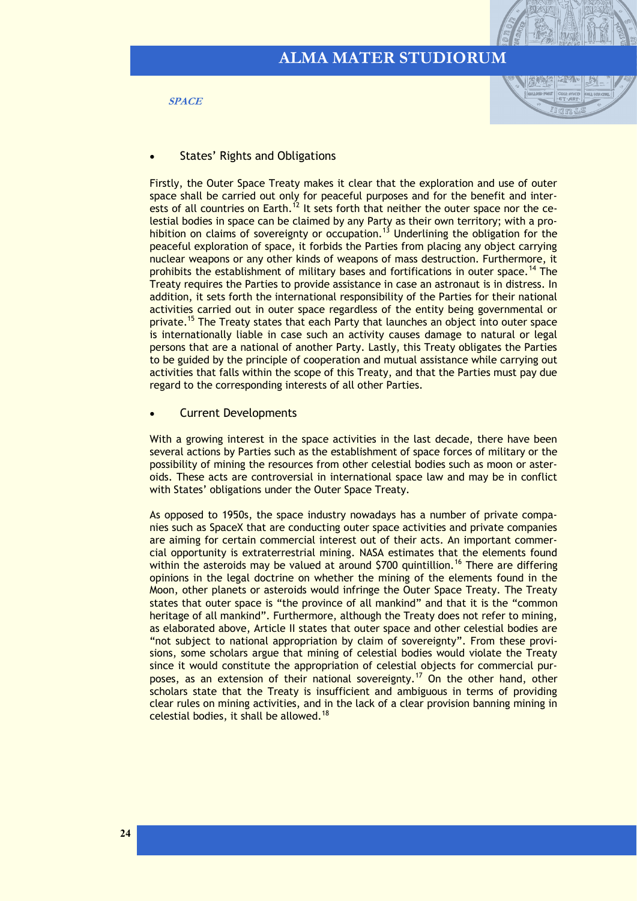**SPACE**



#### **States' Rights and Obligations**

Firstly, the Outer Space Treaty makes it clear that the exploration and use of outer space shall be carried out only for peaceful purposes and for the benefit and interests of all countries on Earth.<sup>12</sup> It sets forth that neither the outer space nor the celestial bodies in space can be claimed by any Party as their own territory; with a prohibition on claims of sovereignty or occupation.<sup>13</sup> Underlining the obligation for the peaceful exploration of space, it forbids the Parties from placing any object carrying nuclear weapons or any other kinds of weapons of mass destruction. Furthermore, it prohibits the establishment of military bases and fortifications in outer space.<sup>14</sup> The Treaty requires the Parties to provide assistance in case an astronaut is in distress. In addition, it sets forth the international responsibility of the Parties for their national activities carried out in outer space regardless of the entity being governmental or private.<sup>15</sup> The Treaty states that each Party that launches an object into outer space is internationally liable in case such an activity causes damage to natural or legal persons that are a national of another Party. Lastly, this Treaty obligates the Parties to be guided by the principle of cooperation and mutual assistance while carrying out activities that falls within the scope of this Treaty, and that the Parties must pay due regard to the corresponding interests of all other Parties.

#### • Current Developments

With a growing interest in the space activities in the last decade, there have been several actions by Parties such as the establishment of space forces of military or the possibility of mining the resources from other celestial bodies such as moon or asteroids. These acts are controversial in international space law and may be in conflict with States' obligations under the Outer Space Treaty.

As opposed to 1950s, the space industry nowadays has a number of private companies such as SpaceX that are conducting outer space activities and private companies are aiming for certain commercial interest out of their acts. An important commercial opportunity is extraterrestrial mining. NASA estimates that the elements found within the asteroids may be valued at around \$700 quintillion.<sup>16</sup> There are differing opinions in the legal doctrine on whether the mining of the elements found in the Moon, other planets or asteroids would infringe the Outer Space Treaty. The Treaty states that outer space is "the province of all mankind" and that it is the "common heritage of all mankind". Furthermore, although the Treaty does not refer to mining, as elaborated above, Article II states that outer space and other celestial bodies are "not subject to national appropriation by claim of sovereignty". From these provisions, some scholars argue that mining of celestial bodies would violate the Treaty since it would constitute the appropriation of celestial objects for commercial purposes, as an extension of their national sovereignty.<sup>17</sup> On the other hand, other scholars state that the Treaty is insufficient and ambiguous in terms of providing clear rules on mining activities, and in the lack of a clear provision banning mining in celestial bodies, it shall be allowed.<sup>18</sup>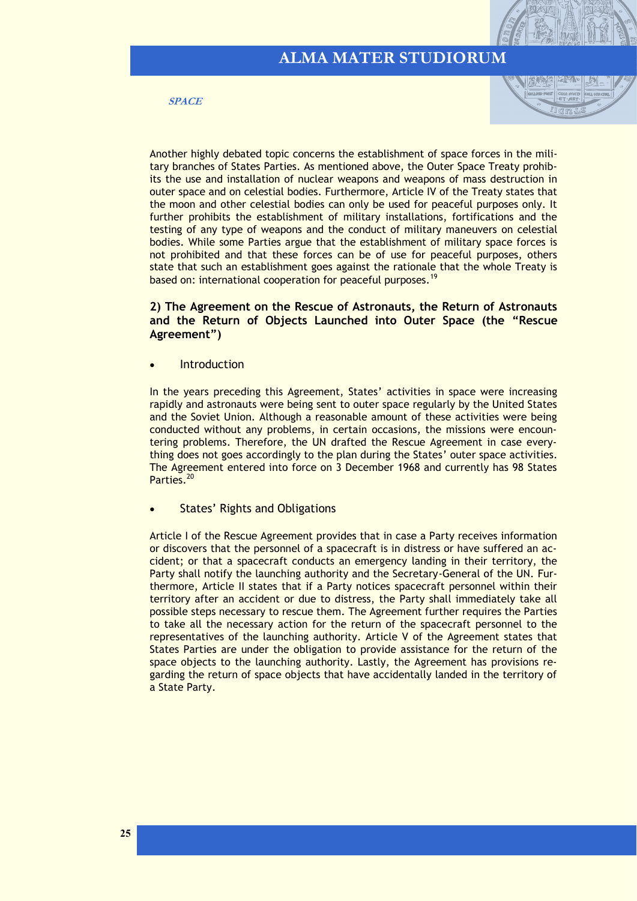**SPACE**



Another highly debated topic concerns the establishment of space forces in the military branches of States Parties. As mentioned above, the Outer Space Treaty prohibits the use and installation of nuclear weapons and weapons of mass destruction in outer space and on celestial bodies. Furthermore, Article IV of the Treaty states that the moon and other celestial bodies can only be used for peaceful purposes only. It further prohibits the establishment of military installations, fortifications and the testing of any type of weapons and the conduct of military maneuvers on celestial bodies. While some Parties argue that the establishment of military space forces is not prohibited and that these forces can be of use for peaceful purposes, others state that such an establishment goes against the rationale that the whole Treaty is based on: international cooperation for peaceful purposes.<sup>19</sup>

#### **2) The Agreement on the Rescue of Astronauts, the Return of Astronauts and the Return of Objects Launched into Outer Space (the "Rescue Agreement")**

**Introduction** 

In the years preceding this Agreement, States' activities in space were increasing rapidly and astronauts were being sent to outer space regularly by the United States and the Soviet Union. Although a reasonable amount of these activities were being conducted without any problems, in certain occasions, the missions were encountering problems. Therefore, the UN drafted the Rescue Agreement in case everything does not goes accordingly to the plan during the States' outer space activities. The Agreement entered into force on 3 December 1968 and currently has 98 States Parties.<sup>20</sup>

#### **States' Rights and Obligations**

Article I of the Rescue Agreement provides that in case a Party receives information or discovers that the personnel of a spacecraft is in distress or have suffered an accident; or that a spacecraft conducts an emergency landing in their territory, the Party shall notify the launching authority and the Secretary-General of the UN. Furthermore, Article II states that if a Party notices spacecraft personnel within their territory after an accident or due to distress, the Party shall immediately take all possible steps necessary to rescue them. The Agreement further requires the Parties to take all the necessary action for the return of the spacecraft personnel to the representatives of the launching authority. Article V of the Agreement states that States Parties are under the obligation to provide assistance for the return of the space objects to the launching authority. Lastly, the Agreement has provisions regarding the return of space objects that have accidentally landed in the territory of a State Party.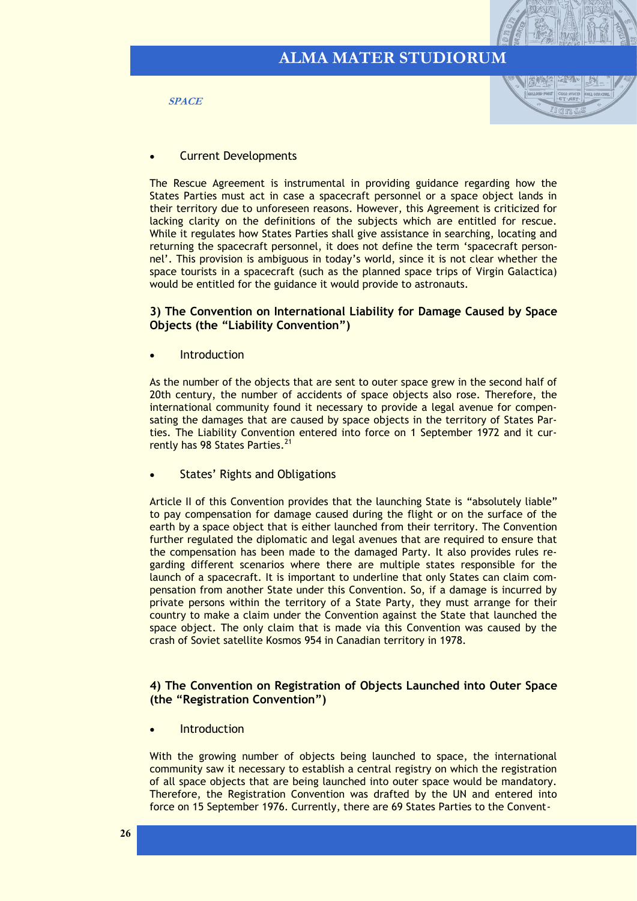**SPACE**



#### • Current Developments

The Rescue Agreement is instrumental in providing guidance regarding how the States Parties must act in case a spacecraft personnel or a space object lands in their territory due to unforeseen reasons. However, this Agreement is criticized for lacking clarity on the definitions of the subjects which are entitled for rescue. While it regulates how States Parties shall give assistance in searching, locating and returning the spacecraft personnel, it does not define the term 'spacecraft personnel'. This provision is ambiguous in today's world, since it is not clear whether the space tourists in a spacecraft (such as the planned space trips of Virgin Galactica) would be entitled for the guidance it would provide to astronauts.

#### **3) The Convention on International Liability for Damage Caused by Space Objects (the "Liability Convention")**

**Introduction** 

As the number of the objects that are sent to outer space grew in the second half of 20th century, the number of accidents of space objects also rose. Therefore, the international community found it necessary to provide a legal avenue for compensating the damages that are caused by space objects in the territory of States Parties. The Liability Convention entered into force on 1 September 1972 and it currently has 98 States Parties.<sup>21</sup>

States' Rights and Obligations

Article II of this Convention provides that the launching State is "absolutely liable" to pay compensation for damage caused during the flight or on the surface of the earth by a space object that is either launched from their territory. The Convention further regulated the diplomatic and legal avenues that are required to ensure that the compensation has been made to the damaged Party. It also provides rules regarding different scenarios where there are multiple states responsible for the launch of a spacecraft. It is important to underline that only States can claim compensation from another State under this Convention. So, if a damage is incurred by private persons within the territory of a State Party, they must arrange for their country to make a claim under the Convention against the State that launched the space object. The only claim that is made via this Convention was caused by the crash of Soviet satellite Kosmos 954 in Canadian territory in 1978.

#### **4) The Convention on Registration of Objects Launched into Outer Space (the "Registration Convention")**

**Introduction** 

With the growing number of objects being launched to space, the international community saw it necessary to establish a central registry on which the registration of all space objects that are being launched into outer space would be mandatory. Therefore, the Registration Convention was drafted by the UN and entered into force on 15 September 1976. Currently, there are 69 States Parties to the Convent-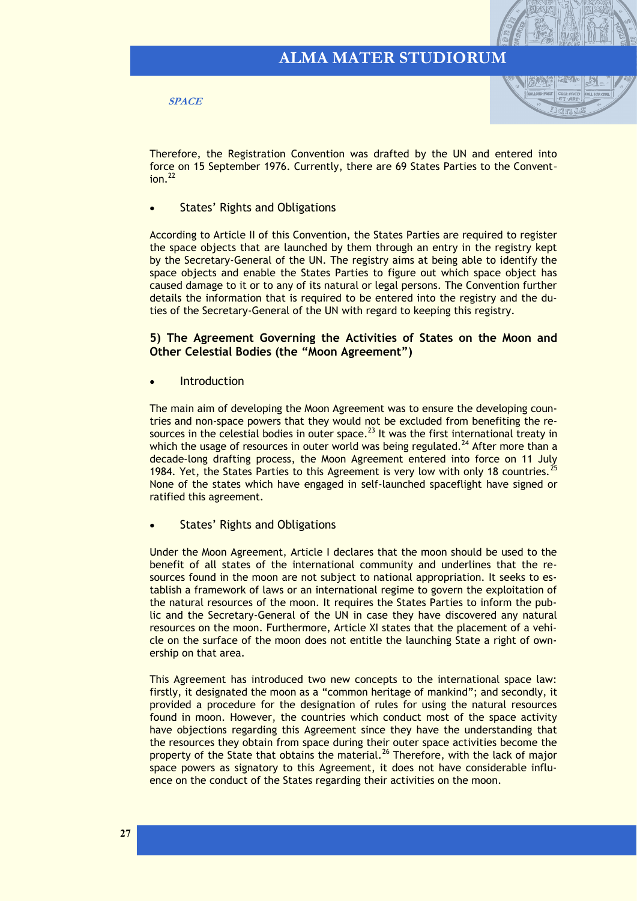**SPACE**



Therefore, the Registration Convention was drafted by the UN and entered into force on 15 September 1976. Currently, there are 69 States Parties to the Convent–  $ion.<sup>22</sup>$ 

**States' Rights and Obligations** 

According to Article II of this Convention, the States Parties are required to register the space objects that are launched by them through an entry in the registry kept by the Secretary-General of the UN. The registry aims at being able to identify the space objects and enable the States Parties to figure out which space object has caused damage to it or to any of its natural or legal persons. The Convention further details the information that is required to be entered into the registry and the duties of the Secretary-General of the UN with regard to keeping this registry.

#### **5) The Agreement Governing the Activities of States on the Moon and Other Celestial Bodies (the "Moon Agreement")**

**Introduction** 

The main aim of developing the Moon Agreement was to ensure the developing countries and non-space powers that they would not be excluded from benefiting the resources in the celestial bodies in outer space.<sup>23</sup> It was the first international treaty in which the usage of resources in outer world was being regulated.<sup>24</sup> After more than a decade-long drafting process, the Moon Agreement entered into force on 11 July 1984. Yet, the States Parties to this Agreement is very low with only 18 countries.<sup>25</sup> None of the states which have engaged in self-launched spaceflight have signed or ratified this agreement.

States' Rights and Obligations

Under the Moon Agreement, Article I declares that the moon should be used to the benefit of all states of the international community and underlines that the resources found in the moon are not subject to national appropriation. It seeks to establish a framework of laws or an international regime to govern the exploitation of the natural resources of the moon. It requires the States Parties to inform the public and the Secretary-General of the UN in case they have discovered any natural resources on the moon. Furthermore, Article XI states that the placement of a vehicle on the surface of the moon does not entitle the launching State a right of ownership on that area.

This Agreement has introduced two new concepts to the international space law: firstly, it designated the moon as a "common heritage of mankind"; and secondly, it provided a procedure for the designation of rules for using the natural resources found in moon. However, the countries which conduct most of the space activity have objections regarding this Agreement since they have the understanding that the resources they obtain from space during their outer space activities become the property of the State that obtains the material.<sup>26</sup> Therefore, with the lack of major space powers as signatory to this Agreement, it does not have considerable influence on the conduct of the States regarding their activities on the moon.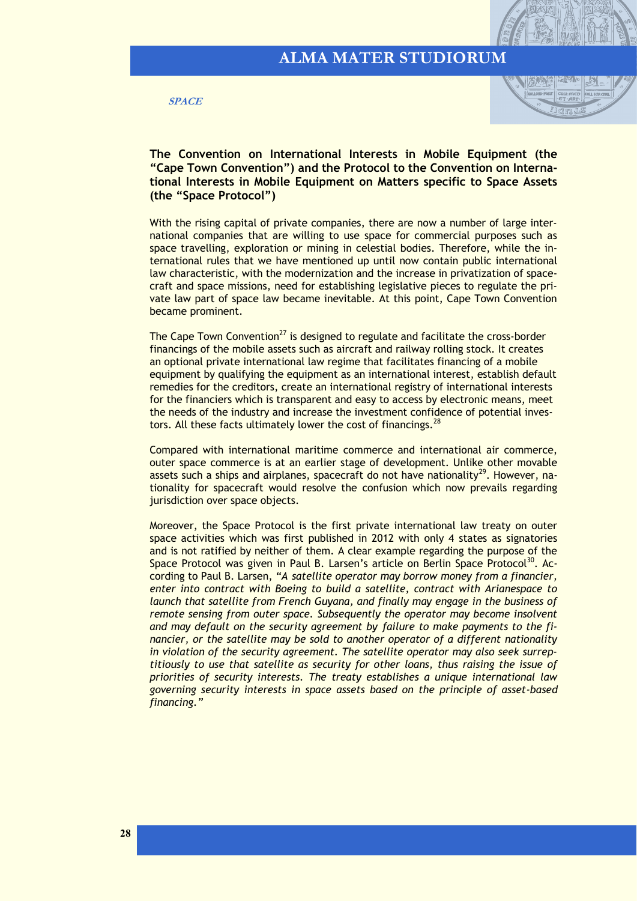**SPACE**



**The Convention on International Interests in Mobile Equipment (the "Cape Town Convention") and the Protocol to the Convention on International Interests in Mobile Equipment on Matters specific to Space Assets (the "Space Protocol")**

With the rising capital of private companies, there are now a number of large international companies that are willing to use space for commercial purposes such as space travelling, exploration or mining in celestial bodies. Therefore, while the international rules that we have mentioned up until now contain public international law characteristic, with the modernization and the increase in privatization of spacecraft and space missions, need for establishing legislative pieces to regulate the private law part of space law became inevitable. At this point, Cape Town Convention became prominent.

The Cape Town Convention<sup>27</sup> is designed to regulate and facilitate the cross-border financings of the mobile assets such as aircraft and railway rolling stock. It creates an optional private international law regime that facilitates financing of a mobile equipment by qualifying the equipment as an international interest, establish default remedies for the creditors, create an international registry of international interests for the financiers which is transparent and easy to access by electronic means, meet the needs of the industry and increase the investment confidence of potential investors. All these facts ultimately lower the cost of financings.  $28$ 

Compared with international maritime commerce and international air commerce, outer space commerce is at an earlier stage of development. Unlike other movable assets such a ships and airplanes, spacecraft do not have nationality<sup>29</sup>. However, nationality for spacecraft would resolve the confusion which now prevails regarding jurisdiction over space objects.

Moreover, the Space Protocol is the first private international law treaty on outer space activities which was first published in 2012 with only 4 states as signatories and is not ratified by neither of them. A clear example regarding the purpose of the Space Protocol was given in Paul B. Larsen's article on Berlin Space Protocol<sup>30</sup>. According to Paul B. Larsen, *"A satellite operator may borrow money from a financier, enter into contract with Boeing to build a satellite, contract with Arianespace to launch that satellite from French Guyana, and finally may engage in the business of remote sensing from outer space. Subsequently the operator may become insolvent and may default on the security agreement by failure to make payments to the financier, or the satellite may be sold to another operator of a different nationality in violation of the security agreement. The satellite operator may also seek surreptitiously to use that satellite as security for other loans, thus raising the issue of priorities of security interests. The treaty establishes a unique international law governing security interests in space assets based on the principle of asset-based financing."*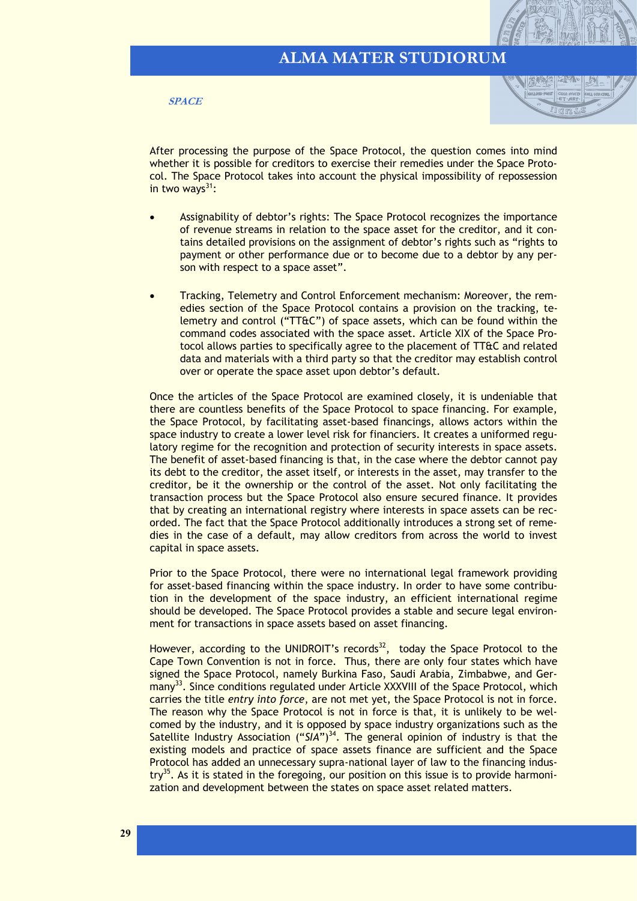**SPACE**



After processing the purpose of the Space Protocol, the question comes into mind whether it is possible for creditors to exercise their remedies under the Space Protocol. The Space Protocol takes into account the physical impossibility of repossession in two ways $31$ :

- Assignability of debtor's rights: The Space Protocol recognizes the importance of revenue streams in relation to the space asset for the creditor, and it contains detailed provisions on the assignment of debtor's rights such as "rights to payment or other performance due or to become due to a debtor by any person with respect to a space asset".
- Tracking, Telemetry and Control Enforcement mechanism: Moreover, the remedies section of the Space Protocol contains a provision on the tracking, telemetry and control ("TT&C") of space assets, which can be found within the command codes associated with the space asset. Article XIX of the Space Protocol allows parties to specifically agree to the placement of TT&C and related data and materials with a third party so that the creditor may establish control over or operate the space asset upon debtor's default.

Once the articles of the Space Protocol are examined closely, it is undeniable that there are countless benefits of the Space Protocol to space financing. For example, the Space Protocol, by facilitating asset-based financings, allows actors within the space industry to create a lower level risk for financiers. It creates a uniformed regulatory regime for the recognition and protection of security interests in space assets. The benefit of asset-based financing is that, in the case where the debtor cannot pay its debt to the creditor, the asset itself, or interests in the asset, may transfer to the creditor, be it the ownership or the control of the asset. Not only facilitating the transaction process but the Space Protocol also ensure secured finance. It provides that by creating an international registry where interests in space assets can be recorded. The fact that the Space Protocol additionally introduces a strong set of remedies in the case of a default, may allow creditors from across the world to invest capital in space assets.

Prior to the Space Protocol, there were no international legal framework providing for asset-based financing within the space industry. In order to have some contribution in the development of the space industry, an efficient international regime should be developed. The Space Protocol provides a stable and secure legal environment for transactions in space assets based on asset financing.

However, according to the UNIDROIT's records $^{32}$ , today the Space Protocol to the Cape Town Convention is not in force. Thus, there are only four states which have signed the Space Protocol, namely Burkina Faso, Saudi Arabia, Zimbabwe, and Germany<sup>33</sup>. Since conditions regulated under Article XXXVIII of the Space Protocol, which carries the title *entry into force*, are not met yet, the Space Protocol is not in force. The reason why the Space Protocol is not in force is that, it is unlikely to be welcomed by the industry, and it is opposed by space industry organizations such as the Satellite Industry Association ("SIA")<sup>34</sup>. The general opinion of industry is that the existing models and practice of space assets finance are sufficient and the Space Protocol has added an unnecessary supra-national layer of law to the financing industry<sup>35</sup>. As it is stated in the foregoing, our position on this issue is to provide harmonization and development between the states on space asset related matters.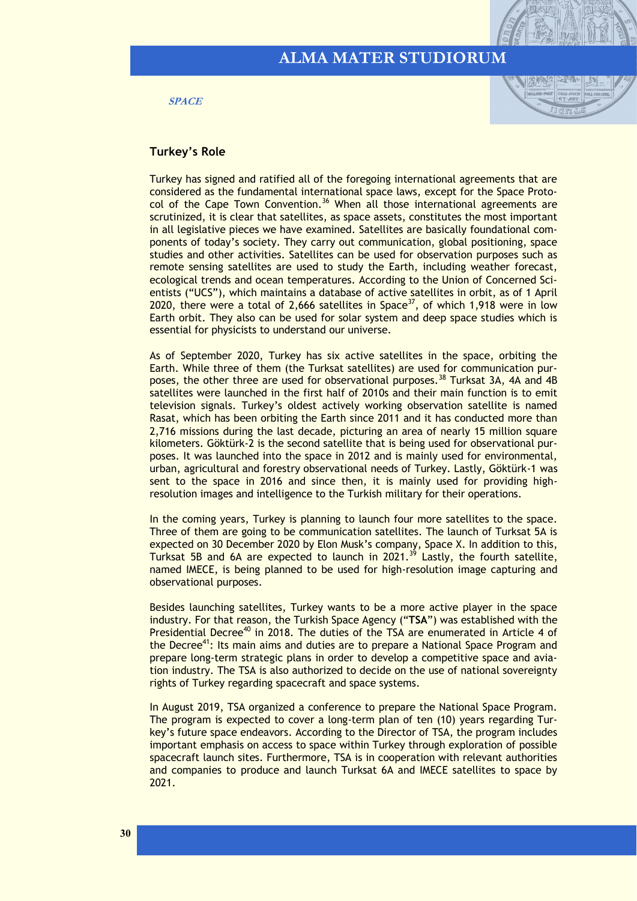**SPACE**



#### **Turkey's Role**

Turkey has signed and ratified all of the foregoing international agreements that are considered as the fundamental international space laws, except for the Space Protocol of the Cape Town Convention.<sup>36</sup> When all those international agreements are scrutinized, it is clear that satellites, as space assets, constitutes the most important in all legislative pieces we have examined. Satellites are basically foundational components of today's society. They carry out communication, global positioning, space studies and other activities. Satellites can be used for observation purposes such as remote sensing satellites are used to study the Earth, including weather forecast, ecological trends and ocean temperatures. According to the Union of Concerned Scientists ("UCS"), which maintains a database of active satellites in orbit, as of 1 April 2020, there were a total of 2,666 satellites in Space<sup>37</sup>, of which 1,918 were in low Earth orbit. They also can be used for solar system and deep space studies which is essential for physicists to understand our universe.

As of September 2020, Turkey has six active satellites in the space, orbiting the Earth. While three of them (the Turksat satellites) are used for communication purposes, the other three are used for observational purposes.<sup>38</sup> Turksat 3A, 4A and 4B satellites were launched in the first half of 2010s and their main function is to emit television signals. Turkey's oldest actively working observation satellite is named Rasat, which has been orbiting the Earth since 2011 and it has conducted more than 2,716 missions during the last decade, picturing an area of nearly 15 million square kilometers. Göktürk-2 is the second satellite that is being used for observational purposes. It was launched into the space in 2012 and is mainly used for environmental, urban, agricultural and forestry observational needs of Turkey. Lastly, Göktürk-1 was sent to the space in 2016 and since then, it is mainly used for providing highresolution images and intelligence to the Turkish military for their operations.

In the coming years, Turkey is planning to launch four more satellites to the space. Three of them are going to be communication satellites. The launch of Turksat 5A is expected on 30 December 2020 by Elon Musk's company, Space X. In addition to this, Turksat 5B and 6A are expected to launch in  $2021.<sup>39</sup>$  Lastly, the fourth satellite, named IMECE, is being planned to be used for high-resolution image capturing and observational purposes.

Besides launching satellites, Turkey wants to be a more active player in the space industry. For that reason, the Turkish Space Agency ("**TSA**") was established with the Presidential Decree<sup>40</sup> in 2018. The duties of the TSA are enumerated in Article 4 of the Decree<sup>41</sup>: Its main aims and duties are to prepare a National Space Program and prepare long-term strategic plans in order to develop a competitive space and aviation industry. The TSA is also authorized to decide on the use of national sovereignty rights of Turkey regarding spacecraft and space systems.

In August 2019, TSA organized a conference to prepare the National Space Program. The program is expected to cover a long-term plan of ten (10) years regarding Turkey's future space endeavors. According to the Director of TSA, the program includes important emphasis on access to space within Turkey through exploration of possible spacecraft launch sites. Furthermore, TSA is in cooperation with relevant authorities and companies to produce and launch Turksat 6A and IMECE satellites to space by 2021.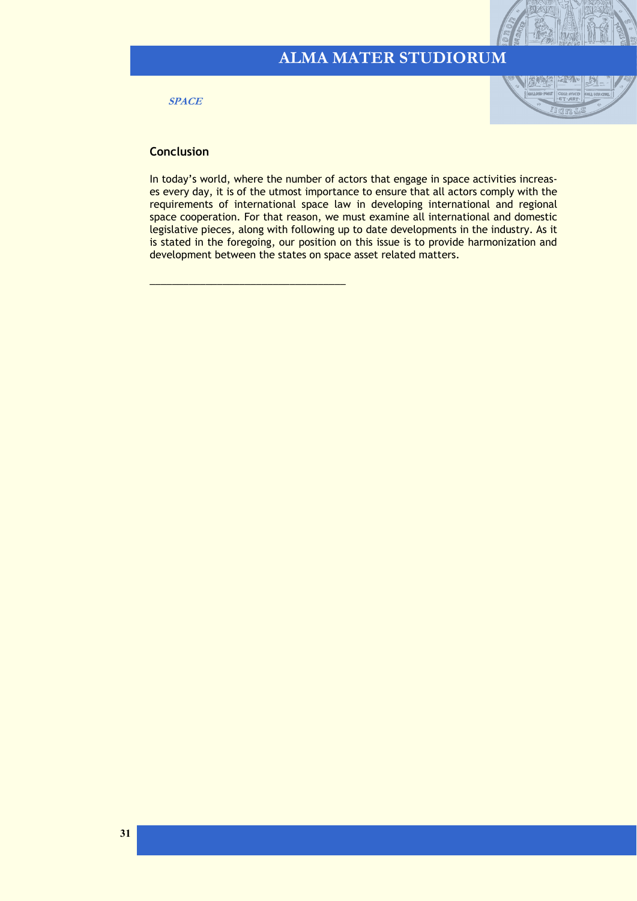**SPACE**



#### **Conclusion**

\_\_\_\_\_\_\_\_\_\_\_\_\_\_\_\_\_\_\_\_\_\_\_\_\_\_\_\_\_\_\_\_\_\_\_

In today's world, where the number of actors that engage in space activities increases every day, it is of the utmost importance to ensure that all actors comply with the requirements of international space law in developing international and regional space cooperation. For that reason, we must examine all international and domestic legislative pieces, along with following up to date developments in the industry. As it is stated in the foregoing, our position on this issue is to provide harmonization and development between the states on space asset related matters.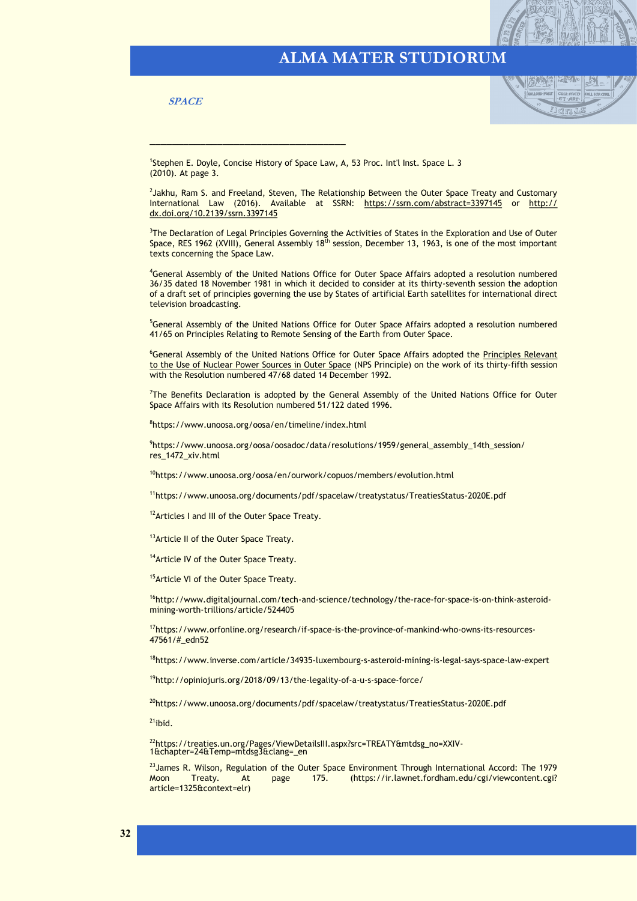**SPACE**



<sup>1</sup>Stephen E. Doyle, Concise History of Space Law, A, 53 Proc. Int'l Inst. Space L. 3 (2010). At page 3.

\_\_\_\_\_\_\_\_\_\_\_\_\_\_\_\_\_\_\_\_\_\_\_\_\_\_\_\_\_\_\_\_\_\_\_

<sup>2</sup>Jakhu, Ram S. and Freeland, Steven, The Relationship Between the Outer Space Treaty and Customary International Law (2016). Available at SSRN: <https://ssrn.com/abstract=3397145> or [http://](https://dx.doi.org/10.2139/ssrn.3397145) [dx.doi.org/10.2139/ssrn.3397145](https://dx.doi.org/10.2139/ssrn.3397145)

<sup>3</sup>The Declaration of Legal Principles Governing the Activities of States in the Exploration and Use of Outer Space, RES 1962 (XVIII), General Assembly 18<sup>th</sup> session, December 13, 1963, is one of the most important texts concerning the Space Law.

<sup>4</sup>General Assembly of the United Nations Office for Outer Space Affairs adopted a resolution numbered 36/35 dated 18 November 1981 in which it decided to consider at its thirty-seventh session the adoption of a draft set of principles governing the use by States of artificial Earth satellites for international direct television broadcasting.

<sup>5</sup>General Assembly of the United Nations Office for Outer Space Affairs adopted a resolution numbered 41/65 on Principles Relating to Remote Sensing of the Earth from Outer Space.

<sup>6</sup>General Assembly of the United Nations Office for Outer Space Affairs adopted the Principles Relevant [to the Use of Nuclear Power Sources in Outer Space](https://www.unoosa.org/oosa/en/ourwork/spacelaw/principles/nps-principles.html) (NPS Principle) on the work of its thirty-fifth session with the Resolution numbered 47/68 dated 14 December 1992.

<sup>7</sup>The Benefits Declaration is adopted by the General Assembly of the United Nations Office for Outer Space Affairs with its Resolution numbered 51/122 dated 1996.

8 https://www.unoosa.org/oosa/en/timeline/index.html

9 https://www.unoosa.org/oosa/oosadoc/data/resolutions/1959/general\_assembly\_14th\_session/ res\_1472\_xiv.html

<sup>10</sup>https://www.unoosa.org/oosa/en/ourwork/copuos/members/evolution.html

<sup>11</sup>https://www.unoosa.org/documents/pdf/spacelaw/treatystatus/TreatiesStatus-2020E.pdf

<sup>12</sup> Articles I and III of the Outer Space Treaty.

13 Article II of the Outer Space Treaty.

<sup>14</sup> Article IV of the Outer Space Treaty.

<sup>15</sup> Article VI of the Outer Space Treaty.

<sup>16</sup>http://www.digitaljournal.com/tech-and-science/technology/the-race-for-space-is-on-think-asteroidmining-worth-trillions/article/524405

<sup>17</sup>https://www.orfonline.org/research/if-space-is-the-province-of-mankind-who-owns-its-resources-47561/#\_edn52

<sup>18</sup>https://www.inverse.com/article/34935-luxembourg-s-asteroid-mining-is-legal-says-space-law-expert

<sup>19</sup>http://opiniojuris.org/2018/09/13/the-legality-of-a-u-s-space-force/

<sup>20</sup>https://www.unoosa.org/documents/pdf/spacelaw/treatystatus/TreatiesStatus-2020E.pdf

 $21$ ibid.

<sup>22</sup>https://treaties.un.org/Pages/ViewDetailsIII.aspx?src=TREATY&mtdsg\_no=XXIV-1&chapter=24&Temp=mtdsg3&clang=\_en

<sup>23</sup> James R. Wilson, Regulation of the Outer Space Environment Through International Accord: The 1979<br>Moon Treaty. At page 175. (https://ir.lawnet.fordham.edu/cgi/viewcontent.cgi? At page 175. (https://ir.lawnet.fordham.edu/cgi/viewcontent.cgi? article=1325&context=elr)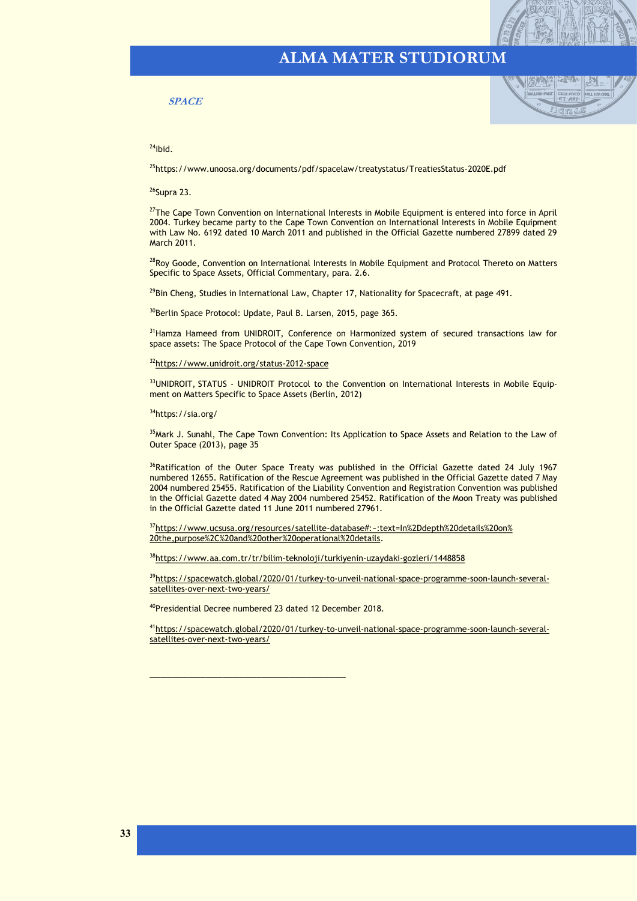#### **SPACE**



 $24$ ibid.

<sup>25</sup>https://www.unoosa.org/documents/pdf/spacelaw/treatystatus/TreatiesStatus-2020E.pdf

<sup>26</sup>Supra 23.

<sup>27</sup>The Cape Town Convention on International Interests in Mobile Equipment is entered into force in April 2004. Turkey became party to the Cape Town Convention on International Interests in Mobile Equipment with Law No. 6192 dated 10 March 2011 and published in the Official Gazette numbered 27899 dated 29 March 2011.

<sup>28</sup>Roy Goode, Convention on International Interests in Mobile Equipment and Protocol Thereto on Matters Specific to Space Assets, Official Commentary, para. 2.6.

<sup>29</sup>Bin Cheng, Studies in International Law, Chapter 17, Nationality for Spacecraft, at page 491.

<sup>30</sup>Berlin Space Protocol: Update, Paul B. Larsen, 2015, page 365.

<sup>31</sup> Hamza Hameed from UNIDROIT, Conference on Harmonized system of secured transactions law for space assets: The Space Protocol of the Cape Town Convention, 2019

<sup>32</sup>[https://www.unidroit.org/status](https://www.unidroit.org/status-2012-space)-2012-space

33UNIDROIT, STATUS - UNIDROIT Protocol to the Convention on International Interests in Mobile Equipment on Matters Specific to Space Assets (Berlin, 2012)

<sup>34</sup>https://sia.org/

<sup>35</sup>Mark J. Sunahl, The Cape Town Convention: Its Application to Space Assets and Relation to the Law of Outer Space (2013), page 35

<sup>36</sup>Ratification of the Outer Space Treaty was published in the Official Gazette dated 24 July 1967 numbered 12655. Ratification of the Rescue Agreement was published in the Official Gazette dated 7 May 2004 numbered 25455. Ratification of the Liability Convention and Registration Convention was published in the Official Gazette dated 4 May 2004 numbered 25452. Ratification of the Moon Treaty was published in the Official Gazette dated 11 June 2011 numbered 27961.

<sup>37</sup>https://www.ucsusa.org/resources/satellite-[database#:~:text=In%2Ddepth%20details%20on%](https://www.ucsusa.org/resources/satellite-database#:~:text=In%2Ddepth%20details%20on%20the,purpose%2C%20and%20other%20operational%20details) [20the,purpose%2C%20and%20other%20operational%20details.](https://www.ucsusa.org/resources/satellite-database#:~:text=In%2Ddepth%20details%20on%20the,purpose%2C%20and%20other%20operational%20details)

38[https://www.aa.com.tr/tr/bilim](https://www.aa.com.tr/tr/bilim-teknoloji/turkiyenin-uzaydaki-gozleri/1448858)-teknoloji/turkiyenin-uzaydaki-gozleri/1448858

39[https://spacewatch.global/2020/01/turkey](https://spacewatch.global/2020/01/turkey-to-unveil-national-space-programme-soon-launch-several-satellites-over-next-two-years/)-to-unveil-national-space-programme-soon-launch-several[satellites](https://spacewatch.global/2020/01/turkey-to-unveil-national-space-programme-soon-launch-several-satellites-over-next-two-years/)-over-next-two-years/

<sup>40</sup>Presidential Decree numbered 23 dated 12 December 2018.

\_\_\_\_\_\_\_\_\_\_\_\_\_\_\_\_\_\_\_\_\_\_\_\_\_\_\_\_\_\_\_\_\_\_\_

<sup>41</sup>[https://spacewatch.global/2020/01/turkey](https://spacewatch.global/2020/01/turkey-to-unveil-national-space-programme-soon-launch-several-satellites-over-next-two-years/)-to-unveil-national-space-programme-soon-launch-several[satellites](https://spacewatch.global/2020/01/turkey-to-unveil-national-space-programme-soon-launch-several-satellites-over-next-two-years/)-over-next-two-years/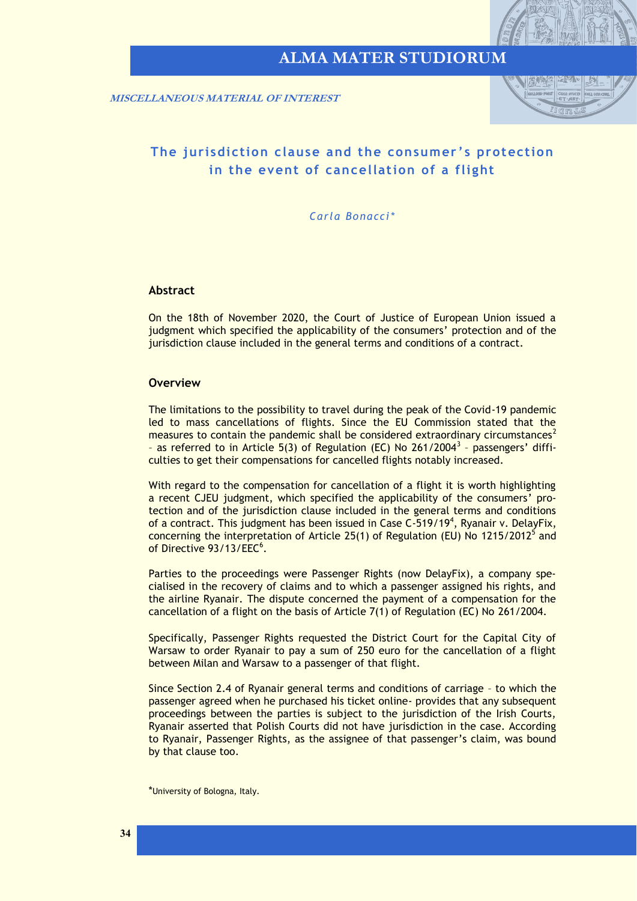

<span id="page-33-0"></span> **MISCELLANEOUS MATERIAL OF INTEREST**



### **The jurisdiction clause and the consumer ' s protection in the event of cancellation of a flight**

*Carla Bonacci\**

#### **Abstract**

On the 18th of November 2020, the Court of Justice of European Union issued a judgment which specified the applicability of the consumers' protection and of the jurisdiction clause included in the general terms and conditions of a contract.

#### **Overview**

The limitations to the possibility to travel during the peak of the Covid-19 pandemic led to mass cancellations of flights. Since the EU Commission stated that the measures to contain the pandemic shall be considered extraordinary circumstances<sup>2</sup> - as referred to in Article 5(3) of Regulation (EC) No 261/2004<sup>3</sup> - passengers' difficulties to get their compensations for cancelled flights notably increased.

With regard to the compensation for cancellation of a flight it is worth highlighting a recent CJEU judgment, which specified the applicability of the consumers' protection and of the jurisdiction clause included in the general terms and conditions of a contract. This judgment has been issued in Case C-519/19<sup>4</sup>, Ryanair v. DelayFix, concerning the interpretation of Article 25(1) of Regulation (EU) No 1215/2012<sup>5</sup> and of Directive 93/13/EEC<sup>6</sup>.

Parties to the proceedings were Passenger Rights (now DelayFix), a company specialised in the recovery of claims and to which a passenger assigned his rights, and the airline Ryanair. The dispute concerned the payment of a compensation for the cancellation of a flight on the basis of Article 7(1) of Regulation (EC) No 261/2004.

Specifically, Passenger Rights requested the District Court for the Capital City of Warsaw to order Ryanair to pay a sum of 250 euro for the cancellation of a flight between Milan and Warsaw to a passenger of that flight.

Since Section 2.4 of Ryanair general terms and conditions of carriage – to which the passenger agreed when he purchased his ticket online- provides that any subsequent proceedings between the parties is subject to the jurisdiction of the Irish Courts, Ryanair asserted that Polish Courts did not have jurisdiction in the case. According to Ryanair, Passenger Rights, as the assignee of that passenger's claim, was bound by that clause too.

<sup>\*</sup>University of Bologna, Italy.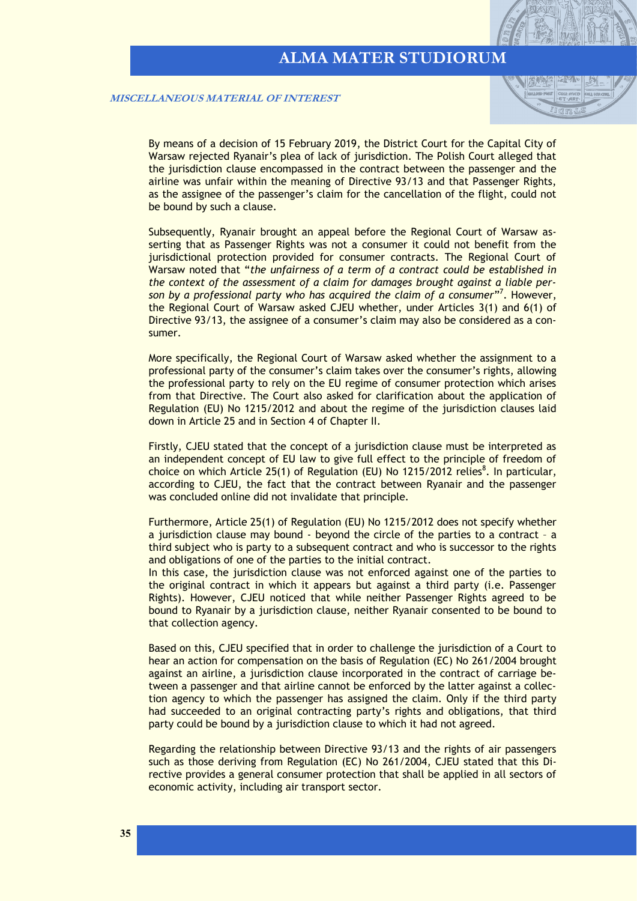| 冷いの間

 **MISCELLANEOUS MATERIAL OF INTEREST**

By means of a decision of 15 February 2019, the District Court for the Capital City of Warsaw rejected Ryanair's plea of lack of jurisdiction. The Polish Court alleged that the jurisdiction clause encompassed in the contract between the passenger and the airline was unfair within the meaning of Directive 93/13 and that Passenger Rights, as the assignee of the passenger's claim for the cancellation of the flight, could not be bound by such a clause.

Subsequently, Ryanair brought an appeal before the Regional Court of Warsaw asserting that as Passenger Rights was not a consumer it could not benefit from the jurisdictional protection provided for consumer contracts. The Regional Court of Warsaw noted that "*the unfairness of a term of a contract could be established in the context of the assessment of a claim for damages brought against a liable per*son by a professional party who has acquired the claim of a consumer"<sup>7</sup>. However, the Regional Court of Warsaw asked CJEU whether, under Articles 3(1) and 6(1) of Directive 93/13, the assignee of a consumer's claim may also be considered as a consumer.

More specifically, the Regional Court of Warsaw asked whether the assignment to a professional party of the consumer's claim takes over the consumer's rights, allowing the professional party to rely on the EU regime of consumer protection which arises from that Directive. The Court also asked for clarification about the application of Regulation (EU) No 1215/2012 and about the regime of the jurisdiction clauses laid down in Article 25 and in Section 4 of Chapter II.

Firstly, CJEU stated that the concept of a jurisdiction clause must be interpreted as an independent concept of EU law to give full effect to the principle of freedom of choice on which Article 25(1) of Regulation (EU) No 1215/2012 relies<sup>8</sup>. In particular, according to CJEU, the fact that the contract between Ryanair and the passenger was concluded online did not invalidate that principle.

Furthermore, Article 25(1) of Regulation (EU) No 1215/2012 does not specify whether a jurisdiction clause may bound - beyond the circle of the parties to a contract – a third subject who is party to a subsequent contract and who is successor to the rights and obligations of one of the parties to the initial contract.

In this case, the jurisdiction clause was not enforced against one of the parties to the original contract in which it appears but against a third party (i.e. Passenger Rights). However, CJEU noticed that while neither Passenger Rights agreed to be bound to Ryanair by a jurisdiction clause, neither Ryanair consented to be bound to that collection agency.

Based on this, CJEU specified that in order to challenge the jurisdiction of a Court to hear an action for compensation on the basis of Regulation (EC) No 261/2004 brought against an airline, a jurisdiction clause incorporated in the contract of carriage between a passenger and that airline cannot be enforced by the latter against a collection agency to which the passenger has assigned the claim. Only if the third party had succeeded to an original contracting party's rights and obligations, that third party could be bound by a jurisdiction clause to which it had not agreed.

Regarding the relationship between Directive 93/13 and the rights of air passengers such as those deriving from Regulation (EC) No 261/2004, CJEU stated that this Directive provides a general consumer protection that shall be applied in all sectors of economic activity, including air transport sector.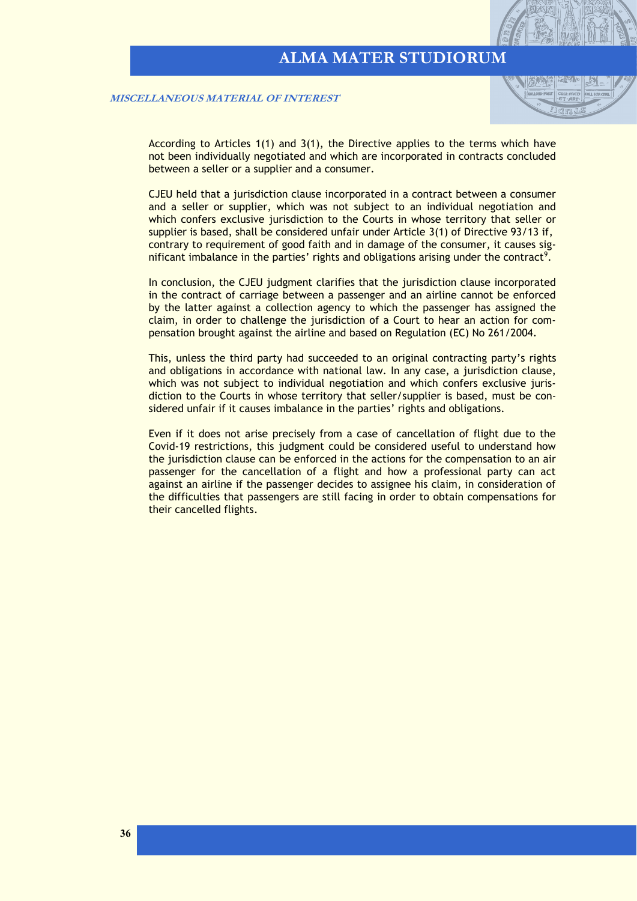陈心

 **MISCELLANEOUS MATERIAL OF INTEREST**

According to Articles 1(1) and 3(1), the Directive applies to the terms which have not been individually negotiated and which are incorporated in contracts concluded between a seller or a supplier and a consumer.

CJEU held that a jurisdiction clause incorporated in a contract between a consumer and a seller or supplier, which was not subject to an individual negotiation and which confers exclusive jurisdiction to the Courts in whose territory that seller or supplier is based, shall be considered unfair under Article 3(1) of Directive 93/13 if, contrary to requirement of good faith and in damage of the consumer, it causes significant imbalance in the parties' rights and obligations arising under the contract<sup>9</sup>.

In conclusion, the CJEU judgment clarifies that the jurisdiction clause incorporated in the contract of carriage between a passenger and an airline cannot be enforced by the latter against a collection agency to which the passenger has assigned the claim, in order to challenge the jurisdiction of a Court to hear an action for compensation brought against the airline and based on Regulation (EC) No 261/2004.

This, unless the third party had succeeded to an original contracting party's rights and obligations in accordance with national law. In any case, a jurisdiction clause, which was not subject to individual negotiation and which confers exclusive jurisdiction to the Courts in whose territory that seller/supplier is based, must be considered unfair if it causes imbalance in the parties' rights and obligations.

Even if it does not arise precisely from a case of cancellation of flight due to the Covid-19 restrictions, this judgment could be considered useful to understand how the jurisdiction clause can be enforced in the actions for the compensation to an air passenger for the cancellation of a flight and how a professional party can act against an airline if the passenger decides to assignee his claim, in consideration of the difficulties that passengers are still facing in order to obtain compensations for their cancelled flights.